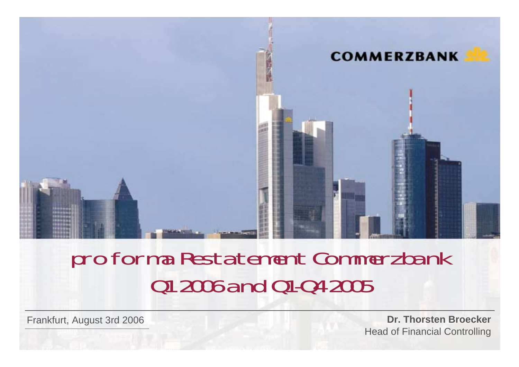

# pro forma Restatement Commerzbank Q1 2006 and Q1-Q4 2005

**Frankfurt, August 3rd 2006 Dr. Thorsten Broecker** Head of Financial Controlling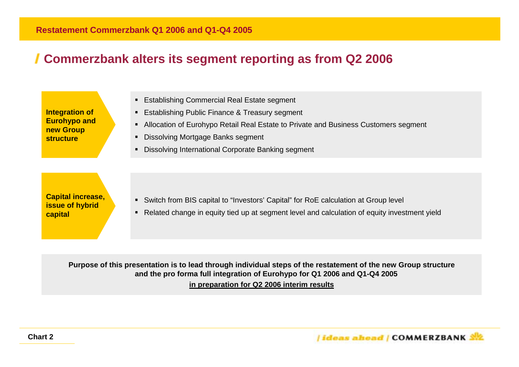### **Commerzbank alters its segment reporting as from Q2 2006**



**Purpose of this presentation is to lead through individual steps of the restatement of the new Group structure and the pro forma full integration of Eurohypo for Q1 2006 and Q1-Q4 2005 in preparation for Q2 2006 interim results**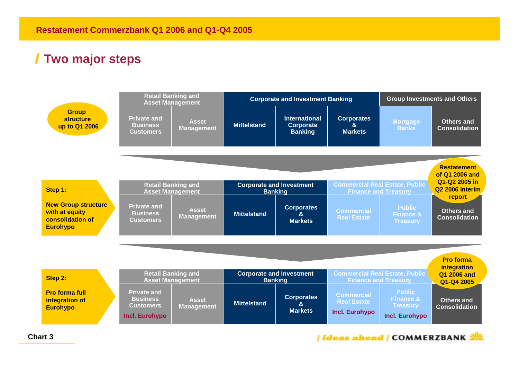# **Two major steps**



*<u>ideas ahead / COMMERZBANK SIZ</u>*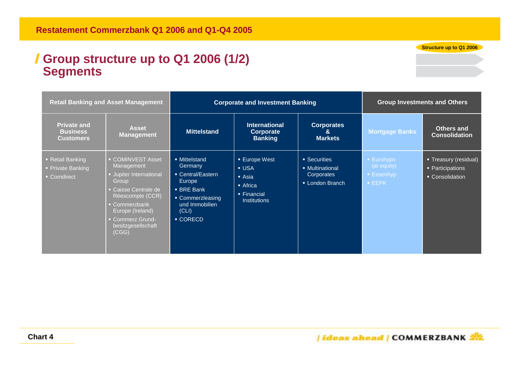#### **Group structure up to Q1 2006 (1/2) Segments**

**Mortgage Banks Others and Consolidation**Mittelstand **International Corporates Mittelstand Corporate** Banking Banking Banking<br>Banking Markets Markets Consolidatio **&MarketsPrivate and Business CustomersAsset Management Retail Banking and Asset Management** Mittelstand**Germany**  Central/Eastern Europe BRE Bank Commerzleasing und Immobilien(CLI) CORECD■ Europe West USA Asia Africa Financial **Institutions** ■ Securities Multinational **Corporates**  London Branch EEPK Treasury (residual) Participations Consolidation Retail Banking Private Banking Comdirect ٠ | COMINVEST Asset ٠ | Management ٠ **Real Estate Fund Concerned** ■ Caisse Centrale de **Corporate and Investment Banking** Jupiter International Réescompte (CCR) Commerzbank Europe (Ireland) Commerz Grundbesitzgesellschaft (CGG) **Group Investments and Others** 

**Structure up to Q1 2006**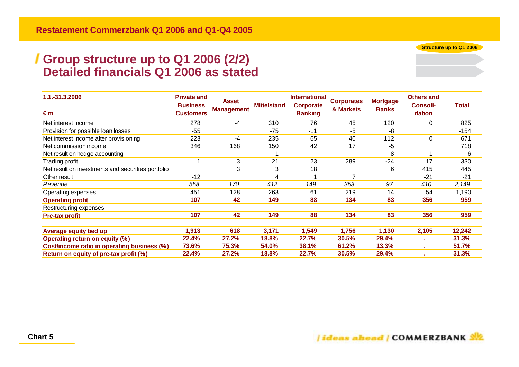#### **Group structure up to Q1 2006 (2/2) Detailed financials Q1 2006 as stated**

| 1.1.-31.3.2006<br>€m                               | <b>Private and</b><br><b>Business</b><br><b>Customers</b> | <b>Asset</b><br><b>Management</b> | <b>Mittelstand</b> | <b>International</b><br>Corporate | <b>Corporates</b><br>& Markets | <b>Mortgage</b><br><b>Banks</b> | <b>Others and</b><br><b>Consoli-</b><br>dation | <b>Total</b> |
|----------------------------------------------------|-----------------------------------------------------------|-----------------------------------|--------------------|-----------------------------------|--------------------------------|---------------------------------|------------------------------------------------|--------------|
|                                                    |                                                           |                                   |                    | <b>Banking</b>                    |                                |                                 |                                                |              |
| Net interest income                                | 278                                                       | -4                                | 310                | 76                                | 45                             | 120                             | $\mathbf 0$                                    | 825          |
| Provision for possible loan losses                 | $-55$                                                     |                                   | $-75$              | $-11$                             | -5                             | -8                              |                                                | $-154$       |
| Net interest income after provisioning             | 223                                                       | -4                                | 235                | 65                                | 40                             | 112                             | $\mathbf 0$                                    | 671          |
| Net commission income                              | 346                                                       | 168                               | 150                | 42                                | 17                             | -5                              |                                                | 718          |
| Net result on hedge accounting                     |                                                           |                                   | -1                 |                                   |                                | 8                               | $-1$                                           | 6            |
| Trading profit                                     |                                                           | 3                                 | 21                 | 23                                | 289                            | $-24$                           | 17                                             | 330          |
| Net result on investments and securities portfolio |                                                           | 3                                 | 3                  | 18                                |                                | 6                               | 415                                            | 445          |
| Other result                                       | $-12$                                                     |                                   | 4                  |                                   | 7                              |                                 | $-21$                                          | $-21$        |
| Revenue                                            | 558                                                       | 170                               | 412                | 149                               | 353                            | 97                              | 410                                            | 2,149        |
| Operating expenses                                 | 451                                                       | 128                               | 263                | 61                                | 219                            | 14                              | 54                                             | 1,190        |
| <b>Operating profit</b>                            | 107                                                       | 42                                | 149                | 88                                | 134                            | 83                              | 356                                            | 959          |
| Restructuring expenses                             |                                                           |                                   |                    |                                   |                                |                                 |                                                |              |
| <b>Pre-tax profit</b>                              | 107                                                       | 42                                | 149                | 88                                | 134                            | 83                              | 356                                            | 959          |
| Average equity tied up                             | 1,913                                                     | 618                               | 3,171              | 1,549                             | 1,756                          | 1,130                           | 2,105                                          | 12,242       |
| Operating return on equity (%)                     | 22.4%                                                     | 27.2%                             | 18.8%              | 22.7%                             | 30.5%                          | 29.4%                           |                                                | 31.3%        |
| Cost/income ratio in operating business (%)        | 73.6%                                                     | 75.3%                             | 54.0%              | 38.1%                             | 61.2%                          | 13.3%                           |                                                | 51.7%        |
| Return on equity of pre-tax profit (%)             | 22.4%                                                     | 27.2%                             | 18.8%              | 22.7%                             | 30.5%                          | 29.4%                           |                                                | 31.3%        |

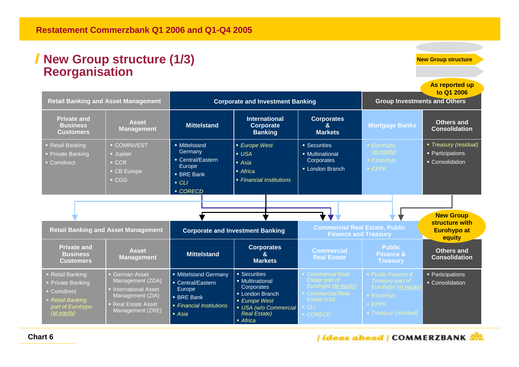#### **New Group structure (1/3) Reorganisation**

**New Group structure**

*<u>ideas ahead / COMMERZBANK SIZ</u>* 

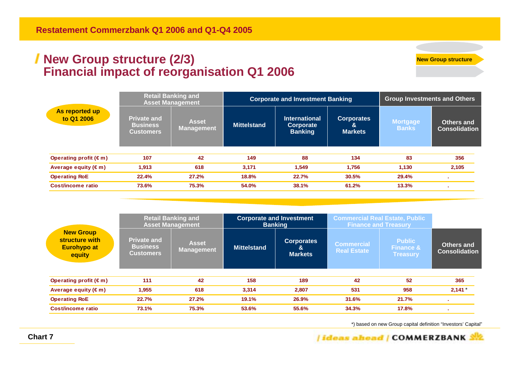#### **New Group structure (2/3) Financial impact of reorganisation Q1 2006**

**New Group structure**

|                                 |                                                           | <b>Retail Banking and</b><br><b>Asset Management</b> |                    | <b>Corporate and Investment Banking</b>             | <b>Group Investments and Others</b>      |                                 |                                           |
|---------------------------------|-----------------------------------------------------------|------------------------------------------------------|--------------------|-----------------------------------------------------|------------------------------------------|---------------------------------|-------------------------------------------|
| As reported up<br>to Q1 2006    | <b>Private and</b><br><b>Business</b><br><b>Customers</b> | <b>Asset</b><br><b>Management</b>                    | <b>Mittelstand</b> | <b>International</b><br>Corporate<br><b>Banking</b> | <b>Corporates</b><br>&<br><b>Markets</b> | <b>Mortgage</b><br><b>Banks</b> | <b>Others and</b><br><b>Consolidation</b> |
| Operating profit $(\epsilon m)$ | 107                                                       | 42                                                   | 149                | 88                                                  | 134                                      | 83                              | 356                                       |
| Average equity $(\epsilon m)$   | 1,913                                                     | 618                                                  | 3,171              | 1.549                                               | 1,756                                    | 1,130                           | 2,105                                     |
| <b>Operating RoE</b>            | 22.4%                                                     | 27.2%                                                | 18.8%              | 22.7%                                               | 30.5%                                    | 29.4%                           |                                           |
| <b>Cost/income ratio</b>        | 73.6%                                                     | 75.3%                                                | 54.0%              | 38.1%                                               | 61.2%                                    | 13.3%                           | . .                                       |

|                                                                    |                                                           | <b>Retail Banking and</b><br><b>Asset Management</b> |                    | <b>Corporate and Investment</b><br><b>Banking</b> |                                         | <b>Commercial Real Estate, Public</b><br><b>Finance and Treasury</b> |                                    |
|--------------------------------------------------------------------|-----------------------------------------------------------|------------------------------------------------------|--------------------|---------------------------------------------------|-----------------------------------------|----------------------------------------------------------------------|------------------------------------|
| <b>New Group</b><br>structure with<br><b>Eurohypo at</b><br>equity | <b>Private and</b><br><b>Business</b><br><b>Customers</b> | <b>Asset</b><br><b>Management</b>                    | <b>Mittelstand</b> | <b>Corporates</b><br>&<br><b>Markets</b>          | <b>Commercial</b><br><b>Real Estate</b> | <b>Public</b><br><b>Finance &amp;</b><br><b>Treasury</b>             | Others and<br><b>Consolidation</b> |
| Operating profit $(\epsilon m)$                                    | 111                                                       | 42                                                   | 158                | 189                                               | 42                                      | 52                                                                   | 365                                |
| Average equity $(\epsilon m)$                                      | 1,955                                                     | 618                                                  | 3,314              | 2,807                                             | 531                                     | 958                                                                  | $2,141*$                           |
| <b>Operating RoE</b>                                               | 22.7%                                                     | 27.2%                                                | 19.1%              | 26.9%                                             | 31.6%                                   | 21.7%                                                                |                                    |
| <b>Cost/income ratio</b>                                           | 73.1%                                                     | 75.3%                                                | 53.6%              | 55.6%                                             | 34.3%                                   | 17.8%                                                                |                                    |

\*) based on new Group capital definition "Investors' Capital"

/ideas ahead / COMMERZBANK UG.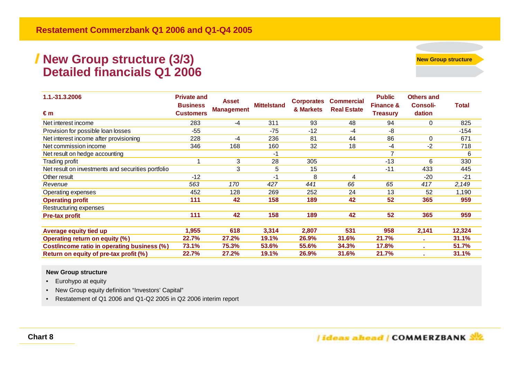#### **New Group structure (3/3) Detailed financials Q1 2006**

**1.1.-31.3.2006€ mPrivate and Business CustomersAsset Management Mittelstand Corporates & Markets Commercial Real Estate Public Finance & Treasury Others and Consoli- dation Total** Net interest income 283 283 44 311 93 48 94 0 825 Provision for possible loan losses and the set of the set of the set of the set of the set of the set of the set of the set of the set of the set of the set of the set of the set of the set of the set of the set of the set Net interest income after provisioning  $228$  4 236 81 44 86 0 671 Net commission income 188 168 168 160 32 18 -4 -2 718 Net result on hedge accounting  $\sim$  6 Trading profit 1 3 28 305 -13 6 330 Net result on investments and securities portfolio and the securities of the securities portfolio and the securities of the securities of the securities of the securities portfolio and the securities of the securities of t Other result -12 -1 8 4 -20 -21 *Revenue 563 170 427 441 66 65 417 2,149*  Operating expenses 252 128 269 252 24 13 52 1,190 **Operatin g profit 111 42 158 189 42 52 365 959**  Restructuring expenses **Pre-tax profit 111 42 158 189 42 52 365 959 Average e quit y tied u p 1,955 618 3,314 2,807 531 958 2,141 12,324 Operatin g return on e quit y (%) 22.7% 27.2% 19.1% 26.9% 31.6% 21.7% . 31.1% Cost/income ratio in operatin g business (%) 73.1% 75.3% 53.6% 55.6% 34.3% 17.8% . 51.7% Return on equit y of pre-tax profit (%) 22.7% 27.2% 19.1% 26.9% 31.6% 21.7% . 31.1%** 

#### **New Group structure**

•Eurohypo at equity

•New Group equity definition "Investors' Capital"

•Restatement of Q1 2006 and Q1-Q2 2005 in Q2 2006 interim report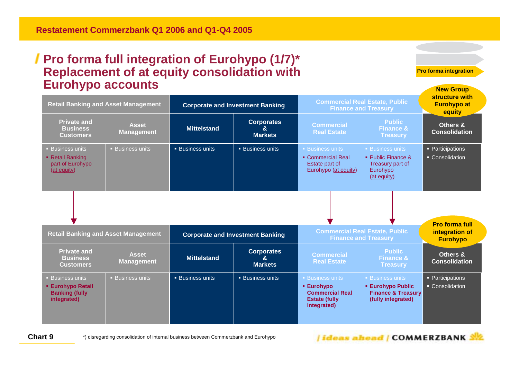#### **Pro forma full integration of Eurohypo (1/7)\* Replacement of at equity consolidation with Eurohypo accounts**

**Private and Business CustomersAsset Management Retail Banking and Asset Management Commercial Real EstateOthers & Consolidation**■ Business units ■ Retail Banking part of Eurohypo (at equity) ■ Business units s **Business units L Business units**  Commercial Real Estate part of Eurohypo (at equity) Participations Consolidation**Corporates &MarketsCorporate and Investment Banking Business units Business units**  Public Finance & Treasury part of Eurohypo (at equity) **Public Finance & Treasury Commercial Real Estate, Public Finance and Treasury MittelstandBusiness units Private and Business CustomersAsset Management Retail Banking and Asset Management Commercial Real EstateOthers & ConsolidationBusiness units Eurohypo Retail Banking (fully integrated)** Business unitss **Business units L Business units Eurohypo Commercial Real Estate (fully integrated)** Participations Consolidation**Corporates & MarketsCorporate and Investment Banking Eurohypo Public Finance & Treasury (fully integrated) Public Finance & Treasury Commercial Real Estate, Public Finance and Treasury MittelstandBusiness units structure withEurohypo** at **equity Pro forma full integration of Eurohypo**

**Chart 9**

*<u>ideas ahead / COMMERZBANK \$</u>* 

**New Group** 

**Pro forma integration**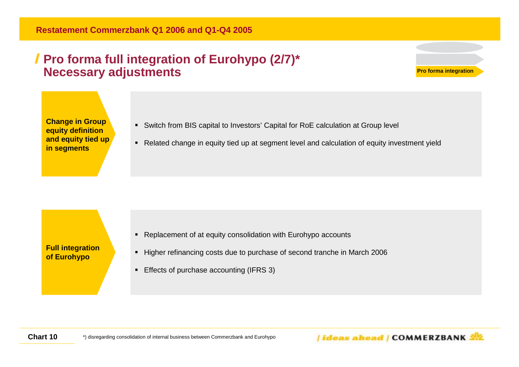#### **Pro forma full integration of Eurohypo (2/7)\* Necessary adjustments**



**Change in Group equity definition and equity tied up in segments**

- Switch from BIS capital to Investors' Capital for RoE calculation at Group level
- Related change in equity tied up at segment level and calculation of equity investment yield

**Full integration of Eurohypo**

- Replacement of at equity consolidation with Eurohypo accounts
- Higher refinancing costs due to purchase of second tranche in March 2006
- $\blacksquare$ Effects of purchase accounting (IFRS 3)

**Chart 10**\*) disregarding consolidation of internal business between Commerzbank and Eurohypo / ideas ahead / COMMERZBANK SIZ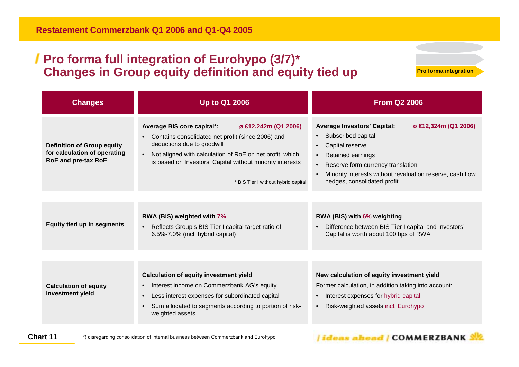#### **Pro forma full integration of Eurohypo (3/7)\* Changes in Group equity definition and equity tied up**

**Pro forma integration**

| Average BIS core capital*:<br>$\varnothing \in 2,242m$ (Q1 2006)<br>Subscribed capital<br>Contains consolidated net profit (since 2006) and<br>deductions due to goodwill<br><b>Definition of Group equity</b><br>Capital reserve<br>$\bullet$<br>for calculation of operating<br>Not aligned with calculation of RoE on net profit, which<br>Retained earnings<br>$\bullet$<br><b>RoE and pre-tax RoE</b><br>is based on Investors' Capital without minority interests<br>$\bullet$<br>* BIS Tier I without hybrid capital<br>RWA (BIS) weighted with 7%<br><b>Equity tied up in segments</b><br>• Reflects Group's BIS Tier I capital target ratio of<br>$\bullet$<br>6.5%-7.0% (incl. hybrid capital) | <b>Average Investors' Capital:</b><br>$\varnothing$ $\in$ 12,324m (Q1 2006)<br>Reserve form currency translation<br>Minority interests without revaluation reserve, cash flow     |
|----------------------------------------------------------------------------------------------------------------------------------------------------------------------------------------------------------------------------------------------------------------------------------------------------------------------------------------------------------------------------------------------------------------------------------------------------------------------------------------------------------------------------------------------------------------------------------------------------------------------------------------------------------------------------------------------------------|-----------------------------------------------------------------------------------------------------------------------------------------------------------------------------------|
|                                                                                                                                                                                                                                                                                                                                                                                                                                                                                                                                                                                                                                                                                                          | hedges, consolidated profit                                                                                                                                                       |
|                                                                                                                                                                                                                                                                                                                                                                                                                                                                                                                                                                                                                                                                                                          | RWA (BIS) with 6% weighting<br>Difference between BIS Tier I capital and Investors'<br>Capital is worth about 100 bps of RWA                                                      |
| <b>Calculation of equity investment yield</b><br>Interest income on Commerzbank AG's equity<br><b>Calculation of equity</b><br>investment yield<br>Less interest expenses for subordinated capital<br>$\bullet$<br>Sum allocated to segments according to portion of risk-<br>$\bullet$<br>weighted assets                                                                                                                                                                                                                                                                                                                                                                                               | New calculation of equity investment yield<br>Former calculation, in addition taking into account:<br>Interest expenses for hybrid capital<br>Risk-weighted assets incl. Eurohypo |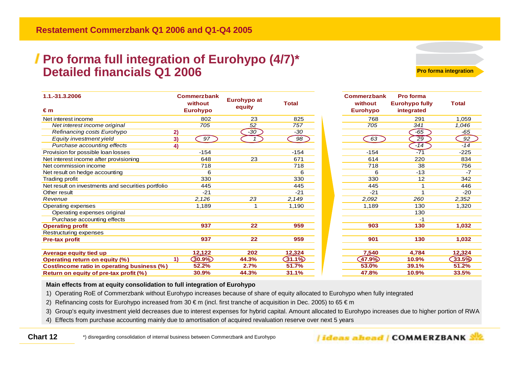#### **Pro forma full integration of Eurohypo (4/7)\* Detailed financials Q1 2006**



| 1.1.-31.3.2006                                     | <b>Commerzbank</b>         | <b>Eurohypo at</b> |              | <b>Commerzbank</b>         | <b>Pro forma</b>                    |              |
|----------------------------------------------------|----------------------------|--------------------|--------------|----------------------------|-------------------------------------|--------------|
| €m                                                 | without<br><b>Eurohypo</b> | equity             | <b>Total</b> | without<br><b>Eurohypo</b> | <b>Eurohypo fully</b><br>integrated | <b>Total</b> |
| Net interest income                                | 802                        | 23                 | 825          | 768                        | 291                                 | 1,059        |
| Net interest income original                       | 705                        | 52                 | 757          | 705                        | 341                                 | 1,046        |
| Refinancing costs Eurohypo                         | 2)                         | $-30$              | $-30$        |                            | $-65$                               | $-65$        |
| Equity investment yield                            | 97<br>3)                   | $\mathbf{1}$       | 98           | 63                         | 29                                  | 92           |
| Purchase accounting effects                        | 4)                         |                    |              |                            | $-14$                               | $-14$        |
| Provision for possible loan losses                 | $-154$                     |                    | $-154$       | $-154$                     | $-71$                               | $-225$       |
| Net interest income after provisioning             | 648                        | 23                 | 671          | 614                        | 220                                 | 834          |
| Net commission income                              | 718                        |                    | 718          | 718                        | 38                                  | 756          |
| Net result on hedge accounting                     | 6                          |                    | 6            | 6                          | $-13$                               | $-7$         |
| Trading profit                                     | 330                        |                    | 330          | 330                        | 12                                  | 342          |
| Net result on investments and securities portfolio | 445                        |                    | 445          | 445                        |                                     | 446          |
| Other result                                       | $-21$                      |                    | $-21$        | $-21$                      |                                     | $-20$        |
| Revenue                                            | 2,126                      | 23                 | 2,149        | 2,092                      | 260                                 | 2,352        |
| Operating expenses                                 | 1,189                      |                    | 1,190        | 1,189                      | 130                                 | 1,320        |
| Operating expenses original                        |                            |                    |              |                            | 130                                 |              |
| Purchase accounting effects                        |                            |                    |              |                            | -1                                  |              |
| <b>Operating profit</b>                            | 937                        | 22                 | 959          | 903                        | 130                                 | 1,032        |
| Restructuring expenses                             |                            |                    |              |                            |                                     |              |
| <b>Pre-tax profit</b>                              | 937                        | 22                 | 959          | 901                        | 130                                 | 1,032        |
| Average equity tied up                             | 12,122                     | 202                | 12,324       | 7,540                      | 4,784                               | 12,324       |
| Operating return on equity (%)                     | $\bigcirc$ 30.9%)<br>1)    | 44.3%              | 31.1%        | 47.9%                      | 10.9%                               | 33.5%        |
| Cost/income ratio in operating business (%)        | 52.2%                      | 2.7%               | 51.7%        | 53.0%                      | 39.1%                               | 51.2%        |
| Return on equity of pre-tax profit (%)             | 30.9%                      | 44.3%              | 31.1%        | 47.8%                      | 10.9%                               | 33.5%        |

| <b>Commerzbank</b> | <b>Pro forma</b>      |              |
|--------------------|-----------------------|--------------|
| without            | <b>Eurohypo fully</b> | <b>Total</b> |
| <b>Eurohypo</b>    | integrated            |              |
| 768                | 291                   | 1,059        |
| 705                | 341                   | 1,046        |
|                    | -65                   | -65          |
| 63                 | 29                    | 92           |
|                    | -14                   | $-14$        |
| $-154$             | $-71$                 | $-225$       |
| 614                | 220                   | 834          |
| 718                | 38                    | 756          |
| 6                  | $-13$                 | $-7$         |
| 330                | 12                    | 342          |
| 445                | 1                     | 446          |
| $-21$              | 1                     | $-20$        |
| 2,092              | 260                   | 2,352        |
| 1,189              | 130                   | 1,320        |
|                    | 130                   |              |
|                    | $-1$                  |              |
| 903                | 130                   | 1,032        |
|                    |                       |              |
| 901                | 130                   | 1,032        |
|                    |                       |              |
| 7,540              | 4,784                 | 12,324       |
| (47.9%             | 10.9%                 | (33.5%       |
| 53.0%              | 39.1%                 | 51.2%        |
| 47.8%              | 10.9%                 | 33.5%        |

#### **Main effects from at equity consolidation to full integration of Eurohypo**

1) Operating RoE of Commerzbank without Eurohypo increases because of share of equity allocated to Eurohypo when fully integrated

2) Refinancing costs for Eurohypo increased from 30 €m (incl. first tranche of acquisition in Dec. 2005) to 65 €m

3) Group's equity investment yield decreases due to interest expenses for hybrid capital. Amount allocated to Eurohypo increases due to higher portion of RWA

4) Effects from purchase accounting mainly due to amortisation of acquired revaluation reserve over next 5 years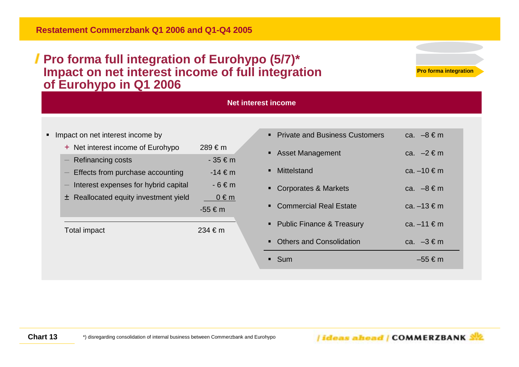#### **Restatement Commerzbank Q1 2006 and Q1-Q4 2005**

#### **Pro forma full integration of Eurohypo (5/7)\* Impact on net interest income of full integration of Eurohypo in Q1 2006**



|                                                            |                               | net interest income              |                   |
|------------------------------------------------------------|-------------------------------|----------------------------------|-------------------|
|                                                            |                               |                                  |                   |
| Impact on net interest income by<br>$\blacksquare$         |                               | • Private and Business Customers | ca. $-8 \in m$    |
| + Net interest income of Eurohypo<br>$-$ Refinancing costs | $289 \in m$<br>$-35 \in m$    | • Asset Management               | ca. $-2 \in m$    |
| Effects from purchase accounting                           | $-14 \in m$                   | • Mittelstand                    | ca. $-10 \in m$   |
| Interest expenses for hybrid capital                       | $-6 \in m$                    | • Corporates & Markets           | ca. $-8 \in m$    |
| $\pm$ Reallocated equity investment yield                  | $0 \in m$<br>$-55 \in m$      | • Commercial Real Estate         | ca. $-13 \in m$   |
| Total impact                                               | $234 \text{ } \in \mathsf{m}$ | • Public Finance & Treasury      | ca. $-11 \in m$   |
|                                                            |                               | • Others and Consolidation       | ca. $-3 \notin m$ |
|                                                            |                               | Sum                              | $-55 \in m$       |

**Net interest income**

/ideas ahead / COMMERZBANK SIZ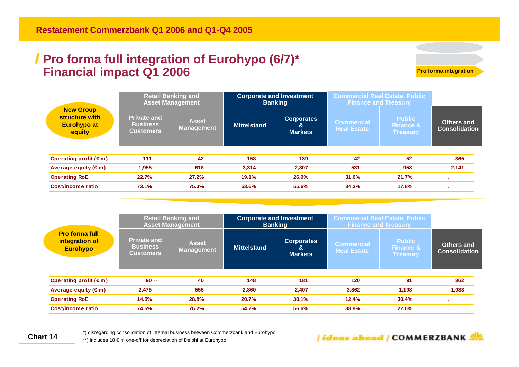#### **Pro forma full integration of Eurohypo (6/7)\* Financial impact Q1 2006**

**Pro forma integration**

|                                                                    |                                                           | <b>Retail Banking and</b><br><b>Asset Management</b> |                    | <b>Corporate and Investment</b><br><b>Banking</b> | <b>Finance and Treasury</b>      | <b>Commercial Real Estate, Public</b>                    |                                           |
|--------------------------------------------------------------------|-----------------------------------------------------------|------------------------------------------------------|--------------------|---------------------------------------------------|----------------------------------|----------------------------------------------------------|-------------------------------------------|
| <b>New Group</b><br>structure with<br><b>Eurohypo at</b><br>equity | <b>Private and</b><br><b>Business</b><br><b>Customers</b> | <b>Asset</b><br>Management                           | <b>Mittelstand</b> | <b>Corporates</b><br>$\alpha$<br><b>Markets</b>   | Commercial<br><b>Real Estate</b> | <b>Public</b><br><b>Finance &amp;</b><br><b>Treasury</b> | <b>Others and</b><br><b>Consolidation</b> |
| Operating profit $(\epsilon m)$                                    | 111                                                       | 42                                                   | 158                | 189                                               | 42                               | 52                                                       | 365                                       |
| Average equity $(\epsilon m)$                                      | 1,955                                                     | 618                                                  | 3,314              | 2,807                                             | 531                              | 958                                                      | 2,141                                     |
| <b>Operating RoE</b>                                               | 22.7%                                                     | 27.2%                                                | 19.1%              | 26.9%                                             | 31.6%                            | 21.7%                                                    |                                           |
| <b>Cost/income ratio</b>                                           | 73.1%                                                     | 75.3%                                                | 53.6%              | 55.6%                                             | 34.3%                            | 17.8%                                                    |                                           |

|                                                            |                                                           | <b>Retail Banking and</b><br><b>Asset Management</b> |                    | <b>Corporate and Investment</b><br><b>Banking</b> |                                         | <b>Commercial Real Estate, Public</b><br><b>Finance and Treasury</b> |                                           |
|------------------------------------------------------------|-----------------------------------------------------------|------------------------------------------------------|--------------------|---------------------------------------------------|-----------------------------------------|----------------------------------------------------------------------|-------------------------------------------|
| <b>Pro forma full</b><br>integration of<br><b>Eurohypo</b> | <b>Private and</b><br><b>Business</b><br><b>Customers</b> | <b>Asset</b><br><b>Management</b>                    | <b>Mittelstand</b> | <b>Corporates</b><br>&<br><b>Markets</b>          | <b>Commercial</b><br><b>Real Estate</b> | <b>Public</b><br><b>Finance &amp;</b><br><b>Treasury</b>             | <b>Others and</b><br><b>Consolidation</b> |
| Operating profit $(\epsilon m)$                            | $90**$                                                    | 40                                                   | 148                | 181                                               | 120                                     | 91                                                                   | 362                                       |
| Average equity $(\epsilon m)$                              | 2,475                                                     | 555                                                  | 2,860              | 2,407                                             | 3,862                                   | 1,198                                                                | $-1,033$                                  |
| <b>Operating RoE</b>                                       | 14.5%                                                     | 28.8%                                                | 20.7%              | 30.1%                                             | 12.4%                                   | 30.4%                                                                |                                           |
| <b>Cost/income ratio</b>                                   | 74.5%                                                     | 76.2%                                                | 54.7%              | 56.6%                                             | 38.9%                                   | 22.0%                                                                |                                           |

**Chart 14**

\*\*) includes 18 € m one-off for depreciation of Delphi at Eurohypo \*) disregarding consolidation of internal business between Commerzbank and Eurohypo

/ideas ahead / COMMERZBANK SIZ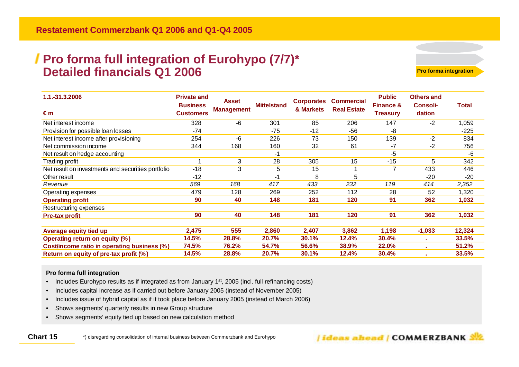#### **Pro forma full integration of Eurohypo (7/7)\* Detailed financials Q1 2006**

**Pro forma integration**

| 1.1.-31.3.2006<br>€m                               | <b>Private and</b><br><b>Business</b><br><b>Customers</b> | Asset<br><b>Management</b> | <b>Mittelstand</b> | <b>Corporates</b><br>& Markets | <b>Commercial</b><br><b>Real Estate</b> | <b>Public</b><br><b>Finance &amp;</b><br><b>Treasury</b> | Others and<br><b>Consoli-</b><br>dation | Total        |
|----------------------------------------------------|-----------------------------------------------------------|----------------------------|--------------------|--------------------------------|-----------------------------------------|----------------------------------------------------------|-----------------------------------------|--------------|
| Net interest income                                | 328                                                       | -6                         | 301                | 85                             | 206                                     | 147                                                      | $-2$                                    | 1,059        |
| Provision for possible loan losses                 | -74                                                       |                            | -75                | $-12$                          | $-56$                                   | -8                                                       |                                         | $-225$       |
| Net interest income after provisioning             | 254                                                       | -6                         | 226                | 73                             | 150                                     | 139                                                      | $-2$                                    | 834          |
| Net commission income                              | 344                                                       | 168                        | 160                | 32                             | 61                                      | -7                                                       | $-2$                                    | 756          |
| Net result on hedge accounting                     |                                                           |                            | -1                 |                                |                                         | $-5$                                                     |                                         | -6           |
| Trading profit                                     | 1                                                         | 3                          | 28                 | 305                            | 15                                      | $-15$                                                    | 5                                       | 342          |
| Net result on investments and securities portfolio | $-18$                                                     | 3                          | 5                  | 15                             |                                         | 7                                                        | 433                                     | 446          |
| Other result                                       | $-12$                                                     |                            | $-1$               | 8                              | 5                                       |                                                          | $-20$                                   | $-20$        |
| Revenue                                            | 569                                                       | 168                        | 417                | 433                            | 232                                     | 119                                                      | 414                                     | 2,352        |
| Operating expenses                                 | 479                                                       | 128                        | 269                | 252                            | 112                                     | 28                                                       | 52                                      | 1,320        |
| <b>Operating profit</b>                            | 90                                                        | 40                         | 148                | 181                            | 120                                     | 91                                                       | 362                                     | 1,032        |
| Restructuring expenses                             |                                                           |                            |                    |                                |                                         |                                                          |                                         |              |
| <b>Pre-tax profit</b>                              | 90                                                        | 40                         | 148                | 181                            | 120                                     | 91                                                       | 362                                     | 1,032        |
| Average equity tied up                             | 2,475                                                     | 555                        | 2,860              | 2,407                          | 3,862                                   | 1,198                                                    | $-1,033$                                | 12,324       |
| Operating return on equity (%)                     | 14.5%                                                     | 28.8%                      | 20.7%              | 30.1%                          | 12.4%                                   | 30.4%                                                    |                                         | <b>33.5%</b> |
| Cost/income ratio in operating business (%)        | 74.5%                                                     | 76.2%                      | 54.7%              | 56.6%                          | 38.9%                                   | 22.0%                                                    |                                         | 51.2%        |
| Return on equity of pre-tax profit (%)             | 14.5%                                                     | 28.8%                      | 20.7%              | 30.1%                          | 12.4%                                   | 30.4%                                                    |                                         | 33.5%        |

#### **Pro forma full integration**

**Chart 15**

- •Includes Eurohypo results as if integrated as from January 1<sup>st</sup>, 2005 (incl. full refinancing costs)
- •Includes capital increase as if carried out before January 2005 (instead of November 2005)
- •Includes issue of hybrid capital as if it took place before January 2005 (instead of March 2006)
- •Shows segments' quarterly results in new Group structure
- •Shows segments' equity tied up based on new calculation method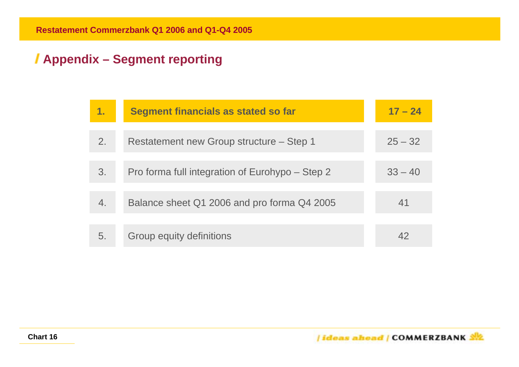# **Appendix – Segment reporting**

| <b>17</b> | Segment financials as stated so far             | $17 - 24$ |
|-----------|-------------------------------------------------|-----------|
|           |                                                 |           |
| 2.        | Restatement new Group structure – Step 1        | $25 - 32$ |
|           |                                                 |           |
| 3.        | Pro forma full integration of Eurohypo – Step 2 | $33 - 40$ |
|           |                                                 |           |
| 4.        | Balance sheet Q1 2006 and pro forma Q4 2005     | 41        |
|           |                                                 |           |
| 5.        | Group equity definitions                        |           |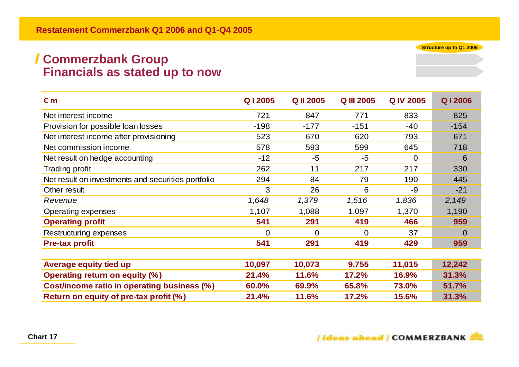#### **Commerzbank Group Financials as stated up to now**

| €m                                                 | Q12005         | <b>Q II 2005</b> | <b>Q III 2005</b> | <b>Q IV 2005</b> | Q12006         |
|----------------------------------------------------|----------------|------------------|-------------------|------------------|----------------|
| Net interest income                                | 721            | 847              | 771               | 833              | 825            |
| Provision for possible loan losses                 | $-198$         | $-177$           | $-151$            | $-40$            | $-154$         |
| Net interest income after provisioning             | 523            | 670              | 620               | 793              | 671            |
| Net commission income                              | 578            | 593              | 599               | 645              | 718            |
| Net result on hedge accounting                     | $-12$          | $-5$             | $-5$              | $\overline{0}$   | 6              |
| <b>Trading profit</b>                              | 262            | 11               | 217               | 217              | 330            |
| Net result on investments and securities portfolio | 294            | 84               | 79                | 190              | 445            |
| Other result                                       | 3              | 26               | 6                 | -9               | $-21$          |
| Revenue                                            | 1,648          | 1,379            | 1,516             | 1,836            | 2,149          |
| <b>Operating expenses</b>                          | 1,107          | 1,088            | 1,097             | 1,370            | 1,190          |
| <b>Operating profit</b>                            | 541            | 291              | 419               | 466              | 959            |
| Restructuring expenses                             | $\overline{0}$ | $\Omega$         | $\Omega$          | 37               | $\overline{0}$ |
| <b>Pre-tax profit</b>                              | 541            | 291              | 419               | 429              | 959            |
|                                                    |                |                  |                   |                  |                |
| <b>Average equity tied up</b>                      | 10,097         | 10,073           | 9,755             | 11,015           | 12,242         |
| <b>Operating return on equity (%)</b>              | 21.4%          | 11.6%            | 17.2%             | 16.9%            | 31.3%          |
| <b>Cost/income ratio in operating business (%)</b> | 60.0%          | 69.9%            | 65.8%             | 73.0%            | 51.7%          |
| Return on equity of pre-tax profit (%)             | 21.4%          | 11.6%            | 17.2%             | 15.6%            | 31.3%          |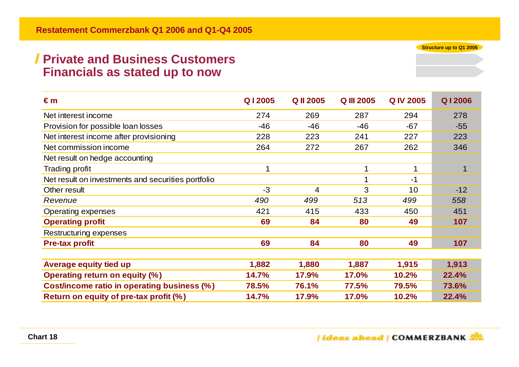#### **Private and Business Customers Financials as stated up to now**

| €m                                                 | Q12005 | <b>Q II 2005</b> | <b>Q III 2005</b> | <b>Q IV 2005</b> | Q12006 |
|----------------------------------------------------|--------|------------------|-------------------|------------------|--------|
| Net interest income                                | 274    | 269              | 287               | 294              | 278    |
| Provision for possible loan losses                 | $-46$  | $-46$            | $-46$             | $-67$            | $-55$  |
| Net interest income after provisioning             | 228    | 223              | 241               | 227              | 223    |
| Net commission income                              | 264    | 272              | 267               | 262              | 346    |
| Net result on hedge accounting                     |        |                  |                   |                  |        |
| Trading profit                                     | 1      |                  | $\mathbf 1$       | $\mathbf 1$      | 1      |
| Net result on investments and securities portfolio |        |                  |                   | $-1$             |        |
| Other result                                       | $-3$   | 4                | 3                 | 10               | $-12$  |
| Revenue                                            | 490    | 499              | 513               | 499              | 558    |
| Operating expenses                                 | 421    | 415              | 433               | 450              | 451    |
| <b>Operating profit</b>                            | 69     | 84               | 80                | 49               | 107    |
| Restructuring expenses                             |        |                  |                   |                  |        |
| <b>Pre-tax profit</b>                              | 69     | 84               | 80                | 49               | 107    |
|                                                    |        |                  |                   |                  |        |
| Average equity tied up                             | 1,882  | 1,880            | 1,887             | 1,915            | 1,913  |
| <b>Operating return on equity (%)</b>              | 14.7%  | 17.9%            | 17.0%             | 10.2%            | 22.4%  |
| <b>Cost/income ratio in operating business (%)</b> | 78.5%  | 76.1%            | 77.5%             | 79.5%            | 73.6%  |
| Return on equity of pre-tax profit (%)             | 14.7%  | 17.9%            | 17.0%             | 10.2%            | 22.4%  |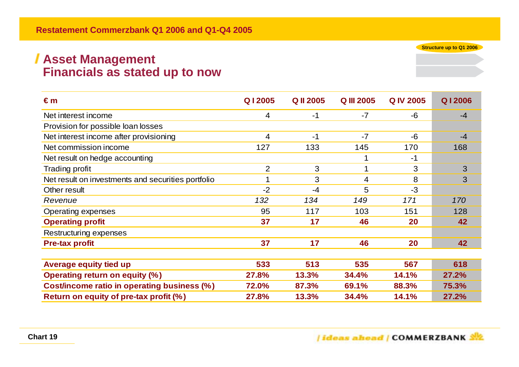#### **Asset Management Financials as stated up to now**

| €m                                                 | Q12005         | <b>Q II 2005</b> | <b>Q III 2005</b> | <b>Q IV 2005</b> | Q12006 |
|----------------------------------------------------|----------------|------------------|-------------------|------------------|--------|
| Net interest income                                | 4              | $-1$             | $-7$              | -6               | $-4$   |
| Provision for possible loan losses                 |                |                  |                   |                  |        |
| Net interest income after provisioning             | 4              | $-1$             | $-7$              | -6               | $-4$   |
| Net commission income                              | 127            | 133              | 145               | 170              | 168    |
| Net result on hedge accounting                     |                |                  |                   | $-1$             |        |
| <b>Trading profit</b>                              | $\overline{2}$ | 3                |                   | 3                | 3      |
| Net result on investments and securities portfolio | 1              | 3                | 4                 | 8                | 3      |
| Other result                                       | $-2$           | $-4$             | 5                 | $-3$             |        |
| Revenue                                            | 132            | 134              | 149               | 171              | 170    |
| <b>Operating expenses</b>                          | 95             | 117              | 103               | 151              | 128    |
| <b>Operating profit</b>                            | 37             | 17               | 46                | <b>20</b>        | 42     |
| Restructuring expenses                             |                |                  |                   |                  |        |
| <b>Pre-tax profit</b>                              | 37             | 17               | 46                | 20               | 42     |
|                                                    |                |                  |                   |                  |        |
| <b>Average equity tied up</b>                      | 533            | 513              | 535               | 567              | 618    |
| <b>Operating return on equity (%)</b>              | 27.8%          | 13.3%            | 34.4%             | 14.1%            | 27.2%  |
| Cost/income ratio in operating business (%)        | 72.0%          | 87.3%            | 69.1%             | 88.3%            | 75.3%  |
| Return on equity of pre-tax profit (%)             | 27.8%          | 13.3%            | 34.4%             | 14.1%            | 27.2%  |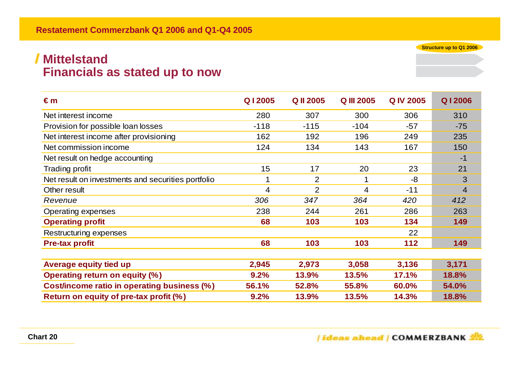#### **Mittelstand Financials as stated up to now**

| €m                                                 | Q12005 | <b>Q II 2005</b> | <b>Q III 2005</b> | <b>Q IV 2005</b> | Q12006         |
|----------------------------------------------------|--------|------------------|-------------------|------------------|----------------|
| Net interest income                                | 280    | 307              | 300               | 306              | 310            |
| Provision for possible loan losses                 | $-118$ | $-115$           | $-104$            | $-57$            | $-75$          |
| Net interest income after provisioning             | 162    | 192              | 196               | 249              | 235            |
| Net commission income                              | 124    | 134              | 143               | 167              | 150            |
| Net result on hedge accounting                     |        |                  |                   |                  | $-1$           |
| Trading profit                                     | 15     | 17               | 20                | 23               | 21             |
| Net result on investments and securities portfolio | 1      | 2                |                   | $-8$             | $\overline{3}$ |
| Other result                                       | 4      | 2                | 4                 | $-11$            | $\overline{4}$ |
| Revenue                                            | 306    | 347              | 364               | 420              | 412            |
| <b>Operating expenses</b>                          | 238    | 244              | 261               | 286              | 263            |
| <b>Operating profit</b>                            | 68     | 103              | 103               | 134              | 149            |
| Restructuring expenses                             |        |                  |                   | 22               |                |
| <b>Pre-tax profit</b>                              | 68     | 103              | 103               | 112              | 149            |
|                                                    |        |                  |                   |                  |                |
| <b>Average equity tied up</b>                      | 2,945  | 2,973            | 3,058             | 3,136            | 3,171          |
| <b>Operating return on equity (%)</b>              | 9.2%   | 13.9%            | 13.5%             | 17.1%            | 18.8%          |
| <b>Cost/income ratio in operating business (%)</b> | 56.1%  | 52.8%            | 55.8%             | 60.0%            | 54.0%          |
| Return on equity of pre-tax profit (%)             | 9.2%   | 13.9%            | 13.5%             | 14.3%            | 18.8%          |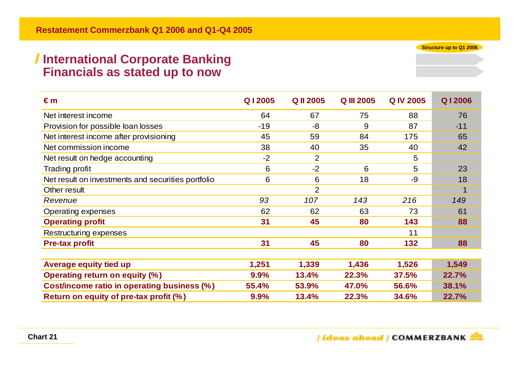#### **International Corporate Banking Financials as stated up to now**

| €m                                                 | Q12005 | <b>Q II 2005</b> | <b>Q III 2005</b> | <b>Q IV 2005</b> | Q12006      |
|----------------------------------------------------|--------|------------------|-------------------|------------------|-------------|
| Net interest income                                | 64     | 67               | 75                | 88               | 76          |
| Provision for possible loan losses                 | $-19$  | -8               | 9                 | 87               | $-11$       |
| Net interest income after provisioning             | 45     | 59               | 84                | 175              | 65          |
| Net commission income                              | 38     | 40               | 35                | 40               | 42          |
| Net result on hedge accounting                     | $-2$   | $\overline{2}$   |                   | 5                |             |
| <b>Trading profit</b>                              | 6      | $-2$             | 6                 | 5                | 23          |
| Net result on investments and securities portfolio | 6      | 6                | 18                | -9               | 18          |
| Other result                                       |        | $\overline{2}$   |                   |                  | $\mathbf 1$ |
| Revenue                                            | 93     | 107              | 143               | 216              | 149         |
| Operating expenses                                 | 62     | 62               | 63                | 73               | 61          |
| <b>Operating profit</b>                            | 31     | 45               | 80                | 143              | 88          |
| Restructuring expenses                             |        |                  |                   | 11               |             |
| <b>Pre-tax profit</b>                              | 31     | 45               | 80                | 132              | 88          |
|                                                    |        |                  |                   |                  |             |
| <b>Average equity tied up</b>                      | 1,251  | 1,339            | 1,436             | 1,526            | 1,549       |
| <b>Operating return on equity (%)</b>              | 9.9%   | 13.4%            | 22.3%             | 37.5%            | 22.7%       |
| <b>Cost/income ratio in operating business (%)</b> | 55.4%  | 53.9%            | 47.0%             | 56.6%            | 38.1%       |
| Return on equity of pre-tax profit (%)             | 9.9%   | 13.4%            | 22.3%             | 34.6%            | 22.7%       |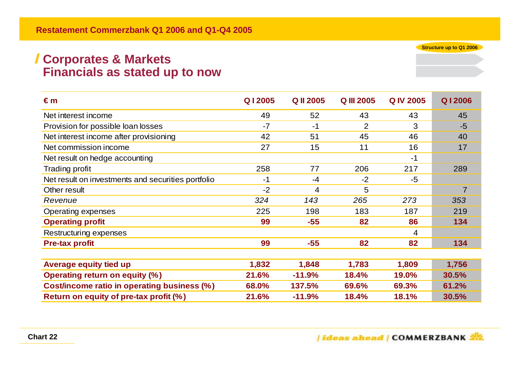#### **Corporates & Markets Financials as stated up to now**

| $\epsilon$ m                                       | Q12005 | <b>Q II 2005</b> | <b>Q III 2005</b> | <b>Q IV 2005</b> | Q12006         |
|----------------------------------------------------|--------|------------------|-------------------|------------------|----------------|
| Net interest income                                | 49     | 52               | 43                | 43               | 45             |
| Provision for possible loan losses                 | $-7$   | $-1$             | $\overline{2}$    | 3                | $-5$           |
| Net interest income after provisioning             | 42     | 51               | 45                | 46               | 40             |
| Net commission income                              | 27     | 15               | 11                | 16               | 17             |
| Net result on hedge accounting                     |        |                  |                   | $-1$             |                |
| <b>Trading profit</b>                              | 258    | 77               | 206               | 217              | 289            |
| Net result on investments and securities portfolio | $-1$   | $-4$             | $-2$              | $-5$             |                |
| Other result                                       | $-2$   | 4                | 5                 |                  | $\overline{7}$ |
| Revenue                                            | 324    | 143              | 265               | 273              | 353            |
| Operating expenses                                 | 225    | 198              | 183               | 187              | 219            |
| <b>Operating profit</b>                            | 99     | $-55$            | 82                | 86               | 134            |
| Restructuring expenses                             |        |                  |                   | 4                |                |
| <b>Pre-tax profit</b>                              | 99     | $-55$            | 82                | 82               | 134            |
|                                                    |        |                  |                   |                  |                |
| <b>Average equity tied up</b>                      | 1,832  | 1,848            | 1,783             | 1,809            | 1,756          |
| <b>Operating return on equity (%)</b>              | 21.6%  | $-11.9%$         | 18.4%             | 19.0%            | 30.5%          |
| Cost/income ratio in operating business (%)        | 68.0%  | 137.5%           | 69.6%             | 69.3%            | 61.2%          |
| Return on equity of pre-tax profit (%)             | 21.6%  | $-11.9%$         | 18.4%             | 18.1%            | 30.5%          |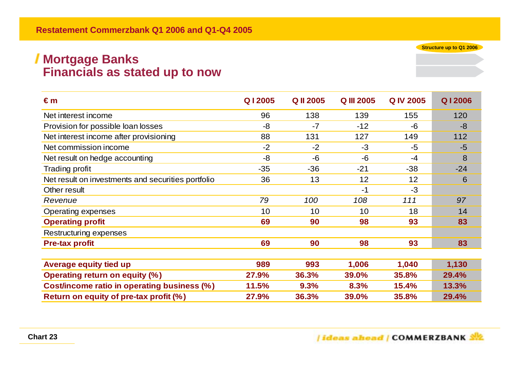#### **Mortgage Banks Financials as stated up to now**

| €m                                                 | Q12005 | <b>Q II 2005</b> | <b>Q III 2005</b> | <b>Q IV 2005</b> | Q12006 |
|----------------------------------------------------|--------|------------------|-------------------|------------------|--------|
| Net interest income                                | 96     | 138              | 139               | 155              | 120    |
| Provision for possible loan losses                 | $-8$   | $-7$             | $-12$             | $-6$             | $-8$   |
| Net interest income after provisioning             | 88     | 131              | 127               | 149              | 112    |
| Net commission income                              | $-2$   | $-2$             | $-3$              | $-5$             | $-5$   |
| Net result on hedge accounting                     | $-8$   | -6               | $-6$              | $-4$             | 8      |
| <b>Trading profit</b>                              | $-35$  | $-36$            | $-21$             | $-38$            | $-24$  |
| Net result on investments and securities portfolio | 36     | 13               | 12                | 12               | 6      |
| Other result                                       |        |                  | $-1$              | $-3$             |        |
| Revenue                                            | 79     | 100              | 108               | 111              | 97     |
| <b>Operating expenses</b>                          | 10     | 10               | 10                | 18               | 14     |
| <b>Operating profit</b>                            | 69     | 90               | 98                | 93               | 83     |
| Restructuring expenses                             |        |                  |                   |                  |        |
| <b>Pre-tax profit</b>                              | 69     | 90               | 98                | 93               | 83     |
|                                                    |        |                  |                   |                  |        |
| <b>Average equity tied up</b>                      | 989    | 993              | 1,006             | 1,040            | 1,130  |
| <b>Operating return on equity (%)</b>              | 27.9%  | 36.3%            | 39.0%             | 35.8%            | 29.4%  |
| <b>Cost/income ratio in operating business (%)</b> | 11.5%  | 9.3%             | 8.3%              | 15.4%            | 13.3%  |
| Return on equity of pre-tax profit (%)             | 27.9%  | 36.3%            | 39.0%             | 35.8%            | 29.4%  |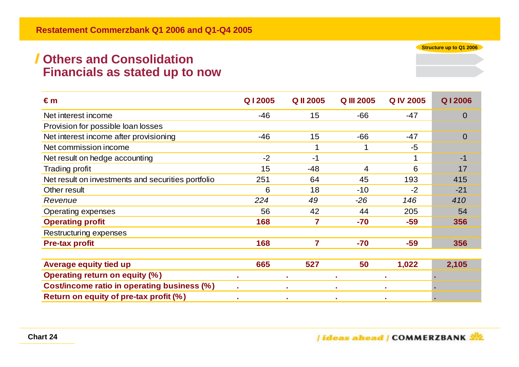#### **Others and Consolidation Financials as stated up to now**

| €m                                                 | Q12005 | <b>Q II 2005</b> | <b>Q III 2005</b> | <b>Q IV 2005</b> | Q12006         |
|----------------------------------------------------|--------|------------------|-------------------|------------------|----------------|
| Net interest income                                | $-46$  | 15               | $-66$             | $-47$            | $\overline{0}$ |
| Provision for possible loan losses                 |        |                  |                   |                  |                |
| Net interest income after provisioning             | $-46$  | 15               | $-66$             | $-47$            | $\overline{0}$ |
| Net commission income                              |        | 1                |                   | $-5$             |                |
| Net result on hedge accounting                     | $-2$   | $-1$             |                   |                  | $-1$           |
| Trading profit                                     | 15     | $-48$            | 4                 | 6                | 17             |
| Net result on investments and securities portfolio | 251    | 64               | 45                | 193              | 415            |
| Other result                                       | 6      | 18               | $-10$             | $-2$             | $-21$          |
| Revenue                                            | 224    | 49               | $-26$             | 146              | 410            |
| Operating expenses                                 | 56     | 42               | 44                | 205              | 54             |
| <b>Operating profit</b>                            | 168    | 7                | $-70$             | $-59$            | 356            |
| Restructuring expenses                             |        |                  |                   |                  |                |
| <b>Pre-tax profit</b>                              | 168    | 7                | $-70$             | $-59$            | 356            |
|                                                    |        |                  |                   |                  |                |
| <b>Average equity tied up</b>                      | 665    | 527              | 50                | 1,022            | 2,105          |
| <b>Operating return on equity (%)</b>              |        | ×                |                   | ×                |                |
| Cost/income ratio in operating business (%)        |        | $\mathbf{r}$     |                   | ×                |                |
| Return on equity of pre-tax profit (%)             |        | ٠                |                   | ×                |                |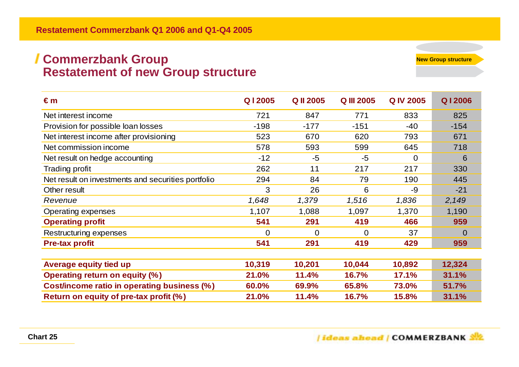#### **Commerzbank Group Restatement of new Group structure**

N $\frac{1}{2}$ 262  $\frac{-5}{11}$ **€ m Q l 2005 Q II 2005 Q III 2005 Q IV 2005 Q I 2006** Net interest income 25 and 225 and 221 and 221 and 225 and 225 and 225 and 225 and 225 and 225 and 225 and 225 Provision for possible loan losses and the set of the set of the set of the set of the set of the set of the set of the set of the set of the set of the set of the set of the set of the set of the set of the set of the set Net interest income after provisioning and the state of the state of the state of the state of the state of the state of the state of the state of the state of the state of the state of the state of the state of the state Net commission income 578 593 599 645 718 Net result on hedge accounting a counting the set of the set of the set of the set of the set of the set of the set of the set of the set of the set of the set of the set of the set of the set of the set of the set of the Trading profit 262 11 217 217 330 Net result on investments and securities portfolio  $294$  84 79 190 445 Other result 3 26 6 -9 -21 *Revenue 1,648 1,379 1,516 1,836 2,149*  Operating expenses 1,107 1,088 1,097 1,370 1,190 **Operating profit 541 291 419 466 959**  Restructuring expenses and the contract of the contract of the contract of the contract of the contract of the contract of the contract of the contract of the contract of the contract of the contract of the contract of the **Pre-tax profit 541 291 419 429 959 Average equity tied up 10,319 10,201 10,044 10,892 12,324 Operating return on equity (%) 21.0% 11.4% 16.7% 17.1% 31.1% Cost/income ratio in operating business (%) 60.0% 69.9% 65.8% 73.0% 51.7% Return on equity of pre-tax profit (%) 21.0% 11.4% 16.7% 15.8% 31.1%**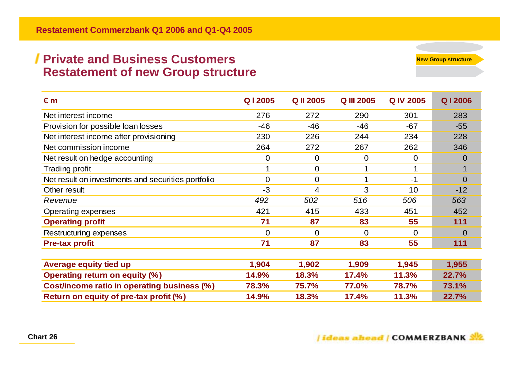#### **Private and Business Customers Restatement of new Group structure**

| $\epsilon$ m                                       | Q12005         | <b>Q II 2005</b> | <b>Q III 2005</b> | <b>Q IV 2005</b> | Q12006         |
|----------------------------------------------------|----------------|------------------|-------------------|------------------|----------------|
| Net interest income                                | 276            | 272              | 290               | 301              | 283            |
| Provision for possible loan losses                 | $-46$          | $-46$            | $-46$             | $-67$            | $-55$          |
| Net interest income after provisioning             | 230            | 226              | 244               | 234              | 228            |
| Net commission income                              | 264            | 272              | 267               | 262              | 346            |
| Net result on hedge accounting                     | $\mathbf 0$    | $\mathbf 0$      | $\mathbf 0$       | $\overline{0}$   | $\Omega$       |
| Trading profit                                     | $\mathbf 1$    | $\Omega$         |                   | 1                | $\mathbf 1$    |
| Net result on investments and securities portfolio | $\overline{0}$ | $\Omega$         |                   | $-1$             | $\overline{0}$ |
| Other result                                       | $-3$           | 4                | 3                 | 10               | $-12$          |
| Revenue                                            | 492            | 502              | 516               | 506              | 563            |
| Operating expenses                                 | 421            | 415              | 433               | 451              | 452            |
| <b>Operating profit</b>                            | 71             | 87               | 83                | 55               | 111            |
| Restructuring expenses                             | $\overline{0}$ | $\Omega$         | $\overline{0}$    | $\Omega$         | $\overline{0}$ |
| <b>Pre-tax profit</b>                              | 71             | 87               | 83                | 55               | 111            |
|                                                    |                |                  |                   |                  |                |
| <b>Average equity tied up</b>                      | 1,904          | 1,902            | 1,909             | 1,945            | 1,955          |
| <b>Operating return on equity (%)</b>              | 14.9%          | 18.3%            | 17.4%             | 11.3%            | 22.7%          |
| Cost/income ratio in operating business (%)        | 78.3%          | 75.7%            | 77.0%             | 78.7%            | 73.1%          |
| Return on equity of pre-tax profit (%)             | 14.9%          | 18.3%            | 17.4%             | 11.3%            | 22.7%          |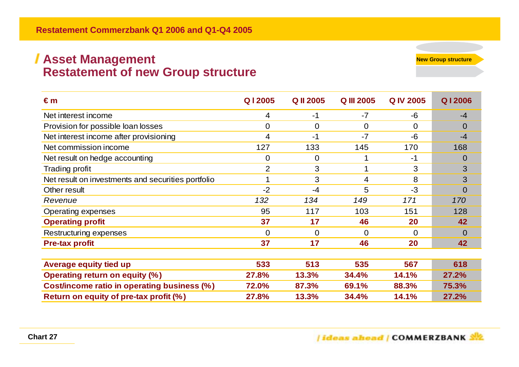#### **Asset Management Restatement of new Group structure**

**€ m Q l 2005 Q II 2005 Q III 2005 Q IV 2005 Q I 2006** Net interest income  $\begin{array}{ccccccc} & 4 & & & -1 & & & -7 & & & -6 & & & -4 \end{array}$ Provision for possible loan losses 0 0 0 0 0 Net interest income after provisioning and the state of the state of the state of the state of the state of the state of the state of the state of the state of the state of the state of the state of the state of the state Net commission income 127 133 145 170 168 Net result on hedge accounting a new control of the control of the control of the control of the control of the control of the control of the control of the control of the control of the control of the control of the contr Trading profit and the contract of the contract of the contract of the contract of the contract of the contract of the contract of the contract of the contract of the contract of the contract of the contract of the contrac Net result on investments and securities portfolio 1 and 1 3 4 3 3 4 3 3 4 3 3 Other result -2 -4 5 -3 0 *Revenue 132 134 149 171 170* Operating expenses 117 103 151 128 **Operating profit 37 17 46 20 42**  Restructuring expenses and the control of the control of the control of the control of the control of the control of the control of the control of the control of the control of the control of the control of the control of **Pre-tax profit 37 17 46 20 42 Average equity tied up 533 513 535 567 618 Operating return on equity (%) 27.8% 13.3% 34.4% 14.1% 27.2% Cost/income ratio in operating business (%) 72.0% 87.3% 69.1% 88.3% 75.3% Return on equity of pre-tax profit (%) 27.8% 13.3% 34.4% 14.1% 27.2%**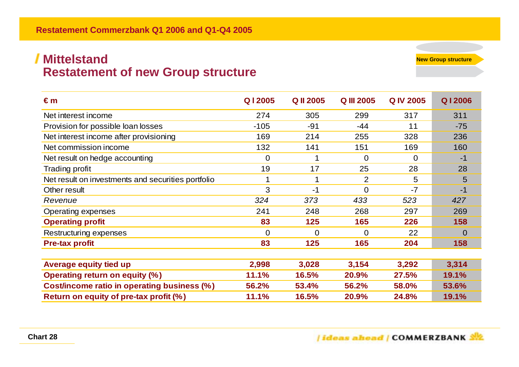#### **Mittelstand Restatement of new Group structure**

**€ m Q l 2005 Q II 2005 Q III 2005 Q IV 2005 Q I 2006** Net interest income 274 305 299 317 311 Provision for possible loan losses and the set of the set of the set of the set of the set of the set of the set of the set of the set of the set of the set of the set of the set of the set of the set of the set of the set Net interest income after provisioning 169 169 214 255 328 236 Net commission income 132 141 151 169 160 Net result on hedge accounting a new control of the control of the control of the control of the control of the control of the control of the control of the control of the control of the control of the control of the contr Trading profit 19 17 25 28 28 Net result on investments and securities portfolio 1 1 1 2 5 5 5 5 5 Other result 3 -1 0 -7 -1 *Revenue 324 373 433 523 427* Operating expenses 241 248 268 297 269 **Operating profit 83 125 165 226 158**  Restructuring expenses and the contract of the contract of the contract of the contract of the contract of the contract of the contract of the contract of the contract of the contract of the contract of the contract of the **Pre-tax profit 83 125 165 204 158 Average equity tied up 2,998 3,028 3,154 3,292 3,314 Operating return on equity (%) 11.1% 16.5% 20.9% 27.5% 19.1% Cost/income ratio in operating business (%) 56.2% 53.4% 56.2% 58.0% 53.6% Return on equity of pre-tax profit (%) 11.1% 16.5% 20.9% 24.8% 19.1%**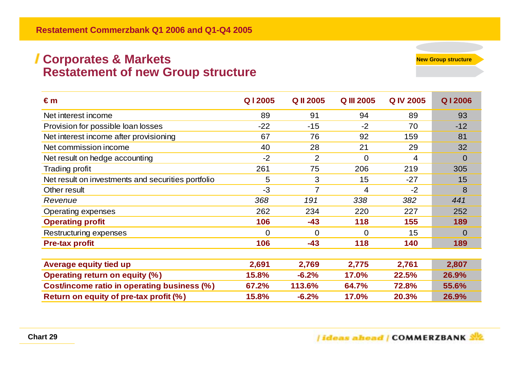#### **Corporates & Markets Restatement of new Group structure**

**€ m Q l 2005 Q II 2005 Q III 2005 Q IV 2005 Q I 2006** Net interest income **89** 89 91 89 89 93 Provision for possible loan losses and the set of the set of the set of the set of the set of the set of the set of the set of the set of the set of the set of the set of the set of the set of the set of the set of the set Net interest income after provisioning and the state of the state of the state of the state of the state of the state of the state of the state of the state of the state of the state of the state of the state of the state Net commission income  $\begin{array}{cccc} 40 & 28 & 21 & 29 & 32 \end{array}$ Net result on hedge accounting -2 2 0 4 0 Trading profit 261 206 219 305 Net result on investments and securities portfolio  $\overline{5}$  and  $\overline{3}$  15  $\overline{15}$  -27  $\overline{15}$  15 Other result -3 7 4 -2 8 *Revenue 368 191 338 382 441* Operating expenses 262 234 220 227 252 **Operating profit 106 -43 118 155 189**  Restructuring expenses and the contract of the contract of the contract of the contract of the contract of the contract of the contract of the contract of the contract of the contract of the contract of the contract of the **Pre-tax profit 106 -43 118 140 189 Average equity tied up 2,691 2,769 2,775 2,761 2,807 Operating return on equity (%) 15.8% -6.2% 17.0% 22.5% 26.9% Cost/income ratio in operating business (%) 67.2% 113.6% 64.7% 72.8% 55.6% Return on equity of pre-tax profit (%) 15.8% -6.2% 17.0% 20.3% 26.9%** 

**New Group structure**

**Chart 29**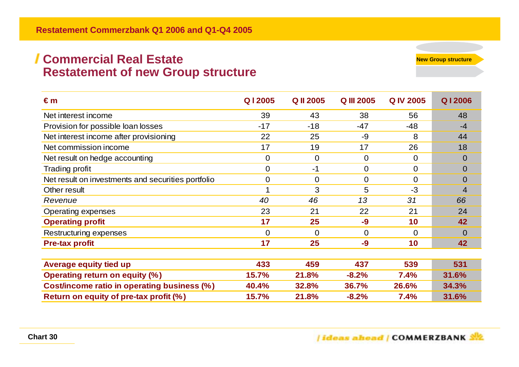#### **Commercial Real Estate Restatement of new Group structure**

**€ m Q l 2005 Q II 2005 Q III 2005 Q IV 2005 Q I 2006** Net interest income 6 18 28 39 39 43 38 56 48 Provision for possible loan losses and the set of the set of the set of the set of the set of the set of the set of the set of the set of the set of the set of the set of the set of the set of the set of the set of the set Net interest income after provisioning 144 Net commission income 17 19 17 19 17 26 18 Net result on hedge accounting a new part of the control of the control of the control of the control of the control of the control of the control of the control of the control of the control of the control of the control Trading profit and the contract of the contract of the contract of the contract of the contract of the contract of the contract of the contract of the contract of the contract of the contract of the contract of the contrac Net result on investments and securities portfolio  $\begin{array}{cccc} 0 & 0 & 0 & 0 \end{array}$ Other result 1 3 5 -3 4 *Revenue 40 46 13 31 66* Operating expenses 23 21 22 21 24 **Operating profit 17 25 -9 10 42**  Restructuring expenses and the control of the control of the control of the control of the control of the control of the control of the control of the control of the control of the control of the control of the control of **Pre-tax profit 17 25 -9 10 42 Average equity tied up 133** 459 437 539 531 **Operating return on equity (%) 15.7% 21.8% -8.2% 7.4% 31.6% Cost/income ratio in operating business (%) 40.4% 32.8% 36.7% 26.6% 34.3% Return on equity of pre-tax profit (%) 15.7% 21.8% -8.2% 7.4% 31.6%**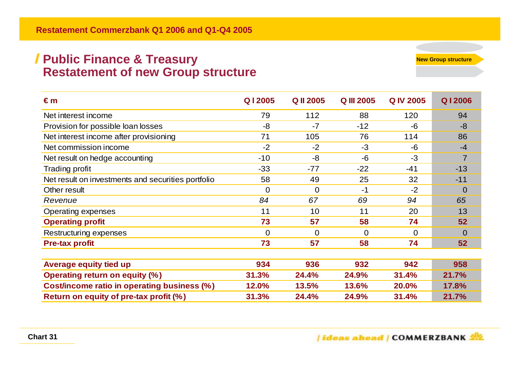#### **Public Finance & Treasury Restatement of new Group structure**

**€ m Q l 2005 Q II 2005 Q III 2005 Q IV 2005 Q I 2006** Net interest income 79 112 88 120 94 Provision for possible loan losses and the set of the set of the set of the set of the set of the set of the set of the set of the set of the set of the set of the set of the set of the set of the set of the set of the set Net interest income after provisioning and the matrix of the 105 114 114 12 12 105 114 12 12 12 13 13 13 14 13 14 Net commission income  $-2$  -2  $-3$  -3  $-6$  -4 Net result on hedge accounting and the set of the set of the set of the set of the set of the set of the set of the set of the set of the set of the set of the set of the set of the set of the set of the set of the set of Trading profit 13 and 13 and 13 and 13 and 13 and 13 and 13 and 13 and 13 and 13 and 13 and 13 and 13 and 13 and 13 and 13 and 13 and 13 and 13 and 13 and 13 and 13 and 13 and 13 and 13 and 13 and 13 and 14 and 15 and 16 a Net result on investments and securities portfolio  $11$  58  $49$  25 32  $-11$ Other result 0 0 -1 -2 0 *Revenue 84 67 69 94 65* Operating expenses and the set of the contract of the 11 10 11 11 120 13 **Operating profit 73 57 58 74 52**  Restructuring expenses and the control of the control of the control of the control of the control of the control of the control of the control of the control of the control of the control of the control of the control of **Pre-tax profit 73 57 58 74 52 Average equity tied up 934 936 932 942 958 Operating return on equity (%) 31.3% 24.4% 24.9% 31.4% 21.7% Cost/income ratio in operating business (%) 12.0% 13.5% 13.6% 20.0% 17.8% Return on equity of pre-tax profit (%) 31.3% 24.4% 24.9% 31.4% 21.7%**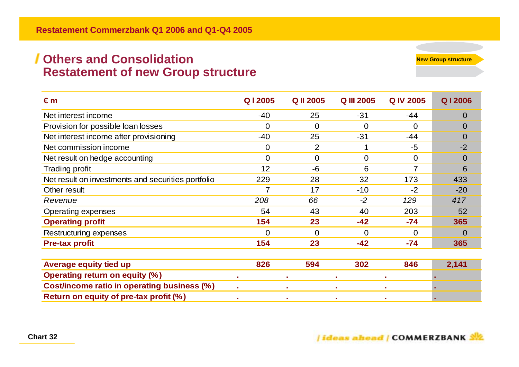#### **Others and ConsolidationRestatement of new Group structure**

**€ m Q l 2005 Q II 2005 Q III 2005 Q IV 2005 Q I 2006** Net interest income  $\overline{a}$  0 Provision for possible loan losses 0 0 0 0 0 Net interest income after provisioning and the set of the set of the set of the set of the set of the set of the set of the set of the set of the set of the set of the set of the set of the set of the set of the set of the Net commission income  $\begin{array}{cccc} 0 & 2 & 1 & -5 & -2 \end{array}$ Net result on hedge accounting a new part of the control of the control of the control of the control of the control of the control of the control of the control of the control of the control of the control of the control Trading profit 6 and 12 contract 12 contract 12 contract 12 contract 12 contract 12 contract 12 contract 12 contract 12 contract 12 contract 12 contract 12 contract 12 contract 12 contract 12 contract 12 contract 12 contra Net result on investments and securities portfolio  $229$  28 28 32 173 433 Other result 7 17 -10 -2 -20 *Revenue 208 66 -2 129 417* Operating expenses 64 54 43 40 203 52 **Operating profit 154 23 -42 -74 365**  Restructuring expenses and the control of the control of the control of the control of the control of the control of the control of the control of the control of the control of the control of the control of the control of **Pre-tax profit 154 23 -42 -74 365 Average equity tied up 826 594 302 846 2,141 Operating return on equity (%) . . . . . Cost/income ratio in operating business (%) . . . . . Return on equity of pre-tax profit (%) . . . . .**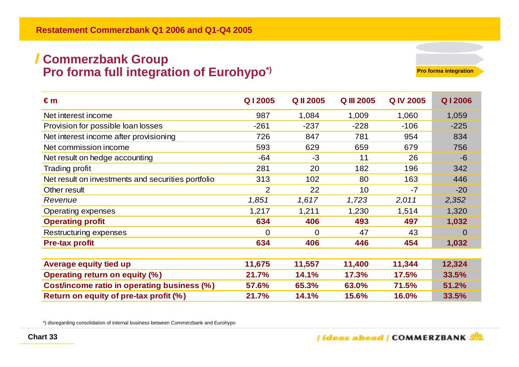#### **Commerzbank Group Pro forma full integration of Eurohypo\*)**

**Pro forma integration**

| $\epsilon$ m                                       | Q12005         | <b>QII 2005</b> | <b>Q III 2005</b> | <b>Q IV 2005</b> | <b>Q12006</b>  |
|----------------------------------------------------|----------------|-----------------|-------------------|------------------|----------------|
| Net interest income                                | 987            | 1,084           | 1,009             | 1,060            | 1,059          |
| Provision for possible loan losses                 | $-261$         | $-237$          | $-228$            | $-106$           | $-225$         |
| Net interest income after provisioning             | 726            | 847             | 781               | 954              | 834            |
| Net commission income                              | 593            | 629             | 659               | 679              | 756            |
| Net result on hedge accounting                     | $-64$          | $-3$            | 11                | 26               | $-6$           |
| <b>Trading profit</b>                              | 281            | 20              | 182               | 196              | 342            |
| Net result on investments and securities portfolio | 313            | 102             | 80                | 163              | 446            |
| Other result                                       | $\overline{2}$ | 22              | 10                | $-7$             | $-20$          |
| Revenue                                            | 1,851          | 1,617           | 1,723             | 2,011            | 2,352          |
| <b>Operating expenses</b>                          | 1,217          | 1,211           | 1,230             | 1,514            | 1,320          |
| <b>Operating profit</b>                            | 634            | 406             | 493               | 497              | 1,032          |
| Restructuring expenses                             | $\overline{0}$ | $\Omega$        | 47                | 43               | $\overline{0}$ |
| <b>Pre-tax profit</b>                              | 634            | 406             | 446               | 454              | 1,032          |
|                                                    |                |                 |                   |                  |                |
| Average equity tied up                             | 11,675         | 11,557          | 11,400            | 11,344           | 12,324         |
| <b>Operating return on equity (%)</b>              | 21.7%          | 14.1%           | 17.3%             | 17.5%            | 33.5%          |
| Cost/income ratio in operating business (%)        | 57.6%          | 65.3%           | 63.0%             | 71.5%            | 51.2%          |
| Return on equity of pre-tax profit (%)             | 21.7%          | 14.1%           | 15.6%             | 16.0%            | 33.5%          |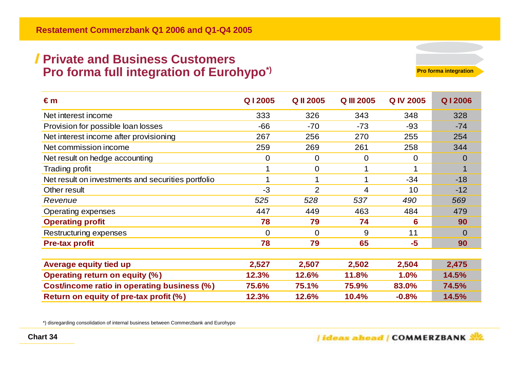#### **Private and Business Customers Pro forma full integration of Eurohypo\*)**

**Pro forma integration**

| $\epsilon$ m                                       | Q12005      | <b>QII 2005</b> | <b>Q III 2005</b> | <b>Q IV 2005</b> | Q12006   |
|----------------------------------------------------|-------------|-----------------|-------------------|------------------|----------|
| Net interest income                                | 333         | 326             | 343               | 348              | 328      |
| Provision for possible loan losses                 | $-66$       | $-70$           | $-73$             | $-93$            | $-74$    |
| Net interest income after provisioning             | 267         | 256             | 270               | 255              | 254      |
| Net commission income                              | 259         | 269             | 261               | 258              | 344      |
| Net result on hedge accounting                     | $\mathbf 0$ | $\mathbf 0$     | 0                 | 0                | O        |
| <b>Trading profit</b>                              | 1           | $\overline{0}$  |                   | 1                |          |
| Net result on investments and securities portfolio | 1           | 1               | 1                 | $-34$            | $-18$    |
| Other result                                       | $-3$        | $\overline{2}$  | 4                 | 10               | $-12$    |
| Revenue                                            | 525         | 528             | 537               | 490              | 569      |
| <b>Operating expenses</b>                          | 447         | 449             | 463               | 484              | 479      |
| <b>Operating profit</b>                            | 78          | 79              | 74                | 6                | 90       |
| Restructuring expenses                             | $\Omega$    | $\Omega$        | 9                 | 11               | $\Omega$ |
| <b>Pre-tax profit</b>                              | 78          | 79              | 65                | $-5$             | 90       |
|                                                    |             |                 |                   |                  |          |
| <b>Average equity tied up</b>                      | 2,527       | 2,507           | 2,502             | 2,504            | 2,475    |
| Operating return on equity (%)                     | 12.3%       | 12.6%           | 11.8%             | 1.0%             | 14.5%    |
| Cost/income ratio in operating business (%)        | 75.6%       | 75.1%           | 75.9%             | 83.0%            | 74.5%    |
| Return on equity of pre-tax profit (%)             | 12.3%       | 12.6%           | 10.4%             | $-0.8%$          | 14.5%    |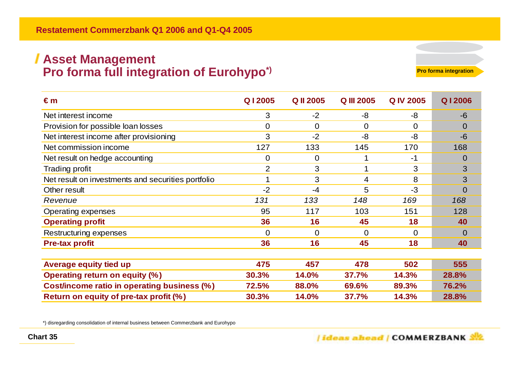#### **Asset Management Pro forma full integration of Eurohypo\*)**

**Pro forma integration**

| $\epsilon$ m                                       | Q12005         | <b>Q II 2005</b> | <b>Q III 2005</b> | <b>Q IV 2005</b> | Q12006   |
|----------------------------------------------------|----------------|------------------|-------------------|------------------|----------|
| Net interest income                                | 3              | $-2$             | -8                | -8               | -6       |
| Provision for possible loan losses                 | $\overline{0}$ | $\overline{0}$   | $\overline{0}$    | $\Omega$         | $\Omega$ |
| Net interest income after provisioning             | 3              | $-2$             | -8                | $-8$             | $-6$     |
| Net commission income                              | 127            | 133              | 145               | 170              | 168      |
| Net result on hedge accounting                     | $\overline{0}$ | $\mathbf 0$      | 1                 | -1               | $\Omega$ |
| <b>Trading profit</b>                              | 2              | 3                | 1                 | 3                | 3        |
| Net result on investments and securities portfolio | 1              | 3                | 4                 | 8                | 3        |
| Other result                                       | $-2$           | $-4$             | 5                 | $-3$             | $\Omega$ |
| Revenue                                            | 131            | 133              | 148               | 169              | 168      |
| Operating expenses                                 | 95             | 117              | 103               | 151              | 128      |
| <b>Operating profit</b>                            | 36             | 16               | 45                | 18               | 40       |
| Restructuring expenses                             | $\Omega$       | $\Omega$         | $\Omega$          | $\overline{0}$   | $\Omega$ |
| <b>Pre-tax profit</b>                              | 36             | 16               | 45                | 18               | 40       |
|                                                    |                |                  |                   |                  |          |
| Average equity tied up                             | 475            | 457              | 478               | 502              | 555      |
| <b>Operating return on equity (%)</b>              | 30.3%          | 14.0%            | 37.7%             | 14.3%            | 28.8%    |
| Cost/income ratio in operating business (%)        | 72.5%          | 88.0%            | 69.6%             | 89.3%            | 76.2%    |
| Return on equity of pre-tax profit (%)             | 30.3%          | 14.0%            | 37.7%             | 14.3%            | 28.8%    |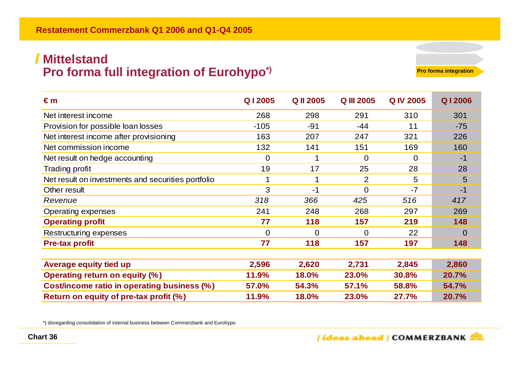#### **MittelstandPro forma full integration of Eurohypo\*)**

**Pro forma integration**

| $\epsilon$ m                                       | Q12005      | <b>QII 2005</b> | <b>Q III 2005</b> | <b>Q IV 2005</b> | Q12006   |
|----------------------------------------------------|-------------|-----------------|-------------------|------------------|----------|
| Net interest income                                | 268         | 298             | 291               | 310              | 301      |
| Provision for possible loan losses                 | $-105$      | $-91$           | -44               | 11               | $-75$    |
| Net interest income after provisioning             | 163         | 207             | 247               | 321              | 226      |
| Net commission income                              | 132         | 141             | 151               | 169              | 160      |
| Net result on hedge accounting                     | $\mathbf 0$ | 1               | 0                 | $\overline{0}$   | $-1$     |
| <b>Trading profit</b>                              | 19          | 17              | 25                | 28               | 28       |
| Net result on investments and securities portfolio | 1           | 1               | $\overline{2}$    | 5                | 5        |
| Other result                                       | 3           | $-1$            | 0                 | $-7$             | $-1$     |
| Revenue                                            | 318         | 366             | 425               | 516              | 417      |
| Operating expenses                                 | 241         | 248             | 268               | 297              | 269      |
| <b>Operating profit</b>                            | 77          | 118             | 157               | 219              | 148      |
| Restructuring expenses                             | $\Omega$    | $\overline{0}$  | $\Omega$          | 22               | $\Omega$ |
| <b>Pre-tax profit</b>                              | 77          | 118             | 157               | 197              | 148      |
|                                                    |             |                 |                   |                  |          |
| <b>Average equity tied up</b>                      | 2,596       | 2,620           | 2,731             | 2,845            | 2,860    |
| <b>Operating return on equity (%)</b>              | 11.9%       | 18.0%           | 23.0%             | 30.8%            | 20.7%    |
| Cost/income ratio in operating business (%)        | 57.0%       | 54.3%           | 57.1%             | 58.8%            | 54.7%    |
| Return on equity of pre-tax profit (%)             | 11.9%       | 18.0%           | 23.0%             | 27.7%            | 20.7%    |

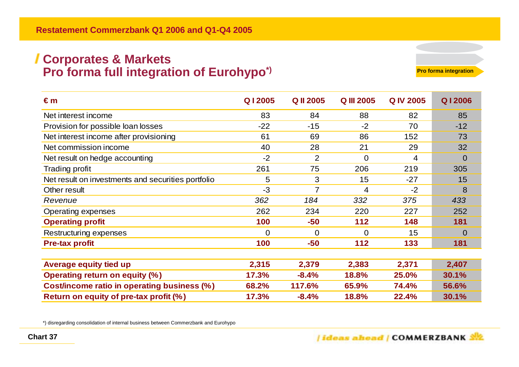#### **Corporates & Markets Pro forma full integration of Eurohypo\*)**

**Pro forma integration**

| $\epsilon$ m                                       | Q12005   | <b>QII 2005</b> | <b>Q III 2005</b> | <b>Q IV 2005</b> | Q12006   |
|----------------------------------------------------|----------|-----------------|-------------------|------------------|----------|
| Net interest income                                | 83       | 84              | 88                | 82               | 85       |
| Provision for possible loan losses                 | $-22$    | $-15$           | $-2$              | 70               | $-12$    |
| Net interest income after provisioning             | 61       | 69              | 86                | 152              | 73       |
| Net commission income                              | 40       | 28              | 21                | 29               | 32       |
| Net result on hedge accounting                     | $-2$     | 2               | $\Omega$          | 4                | $\Omega$ |
| <b>Trading profit</b>                              | 261      | 75              | 206               | 219              | 305      |
| Net result on investments and securities portfolio | 5        | 3               | 15                | $-27$            | 15       |
| Other result                                       | $-3$     | $\overline{7}$  | 4                 | $-2$             | 8        |
| Revenue                                            | 362      | 184             | 332               | 375              | 433      |
| Operating expenses                                 | 262      | 234             | 220               | 227              | 252      |
| <b>Operating profit</b>                            | 100      | $-50$           | 112               | 148              | 181      |
| Restructuring expenses                             | $\Omega$ | $\Omega$        | $\Omega$          | 15               | $\Omega$ |
| <b>Pre-tax profit</b>                              | 100      | $-50$           | 112               | 133              | 181      |
|                                                    |          |                 |                   |                  |          |
| Average equity tied up                             | 2,315    | 2,379           | 2,383             | 2,371            | 2,407    |
| <b>Operating return on equity (%)</b>              | 17.3%    | $-8.4%$         | 18.8%             | 25.0%            | 30.1%    |
| Cost/income ratio in operating business (%)        | 68.2%    | 117.6%          | 65.9%             | 74.4%            | 56.6%    |
| Return on equity of pre-tax profit (%)             | 17.3%    | $-8.4%$         | 18.8%             | 22.4%            | 30.1%    |

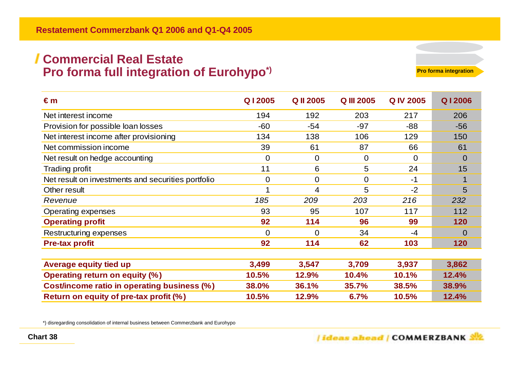#### **Commercial Real Estate Pro forma full integration of Eurohypo\*)**

**Pro forma integration**

| $\epsilon$ m                                       | Q12005      | <b>QII 2005</b> | <b>Q III 2005</b> | <b>Q IV 2005</b> | <b>Q12006</b>  |
|----------------------------------------------------|-------------|-----------------|-------------------|------------------|----------------|
| Net interest income                                | 194         | 192             | 203               | 217              | 206            |
| Provision for possible loan losses                 | $-60$       | $-54$           | $-97$             | $-88$            | $-56$          |
| Net interest income after provisioning             | 134         | 138             | 106               | 129              | 150            |
| Net commission income                              | 39          | 61              | 87                | 66               | 61             |
| Net result on hedge accounting                     | $\mathbf 0$ | $\mathbf 0$     | 0                 | 0                | $\overline{0}$ |
| <b>Trading profit</b>                              | 11          | 6               | 5                 | 24               | 15             |
| Net result on investments and securities portfolio | $\mathbf 0$ | 0               | $\Omega$          | $-1$             | 1              |
| Other result                                       | 1           | 4               | 5                 | $-2$             | 5              |
| Revenue                                            | 185         | 209             | 203               | 216              | 232            |
| Operating expenses                                 | 93          | 95              | 107               | 117              | 112            |
| <b>Operating profit</b>                            | 92          | 114             | 96                | 99               | 120            |
| Restructuring expenses                             | $\Omega$    | $\Omega$        | 34                | $-4$             | $\Omega$       |
| <b>Pre-tax profit</b>                              | 92          | 114             | 62                | 103              | 120            |
|                                                    |             |                 |                   |                  |                |
| <b>Average equity tied up</b>                      | 3,499       | 3,547           | 3,709             | 3,937            | 3,862          |
| <b>Operating return on equity (%)</b>              | 10.5%       | 12.9%           | 10.4%             | 10.1%            | 12.4%          |
| Cost/income ratio in operating business (%)        | 38.0%       | 36.1%           | 35.7%             | 38.5%            | 38.9%          |
| Return on equity of pre-tax profit (%)             | 10.5%       | 12.9%           | 6.7%              | 10.5%            | 12.4%          |

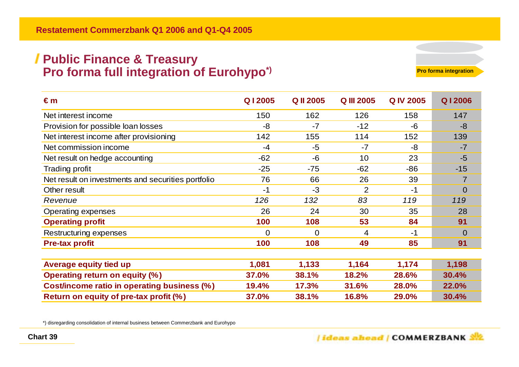#### **Public Finance & Treasury Pro forma full integration of Eurohypo\*)**

**Pro forma integration**

| $\epsilon$ m                                       | Q12005   | <b>QII 2005</b> | <b>Q III 2005</b> | <b>Q IV 2005</b> | Q12006   |
|----------------------------------------------------|----------|-----------------|-------------------|------------------|----------|
| Net interest income                                | 150      | 162             | 126               | 158              | 147      |
| Provision for possible loan losses                 | -8       | $-7$            | $-12$             | -6               | -8       |
| Net interest income after provisioning             | 142      | 155             | 114               | 152              | 139      |
| Net commission income                              | $-4$     | $-5$            | $-7$              | -8               | $-7$     |
| Net result on hedge accounting                     | $-62$    | $-6$            | 10                | 23               | $-5$     |
| <b>Trading profit</b>                              | $-25$    | $-75$           | $-62$             | $-86$            | $-15$    |
| Net result on investments and securities portfolio | 76       | 66              | 26                | 39               |          |
| Other result                                       | $-1$     | $-3$            | $\overline{2}$    | $-1$             | $\Omega$ |
| Revenue                                            | 126      | 132             | 83                | 119              | 119      |
| Operating expenses                                 | 26       | 24              | 30                | 35               | 28       |
| <b>Operating profit</b>                            | 100      | 108             | 53                | 84               | 91       |
| Restructuring expenses                             | $\Omega$ | $\Omega$        | 4                 | $-1$             | $\Omega$ |
| <b>Pre-tax profit</b>                              | 100      | 108             | 49                | 85               | 91       |
|                                                    |          |                 |                   |                  |          |
| Average equity tied up                             | 1,081    | 1,133           | 1,164             | 1,174            | 1,198    |
| <b>Operating return on equity (%)</b>              | 37.0%    | 38.1%           | 18.2%             | 28.6%            | 30.4%    |
| Cost/income ratio in operating business (%)        | 19.4%    | 17.3%           | 31.6%             | 28.0%            | 22.0%    |
| Return on equity of pre-tax profit (%)             | 37.0%    | 38.1%           | 16.8%             | 29.0%            | 30.4%    |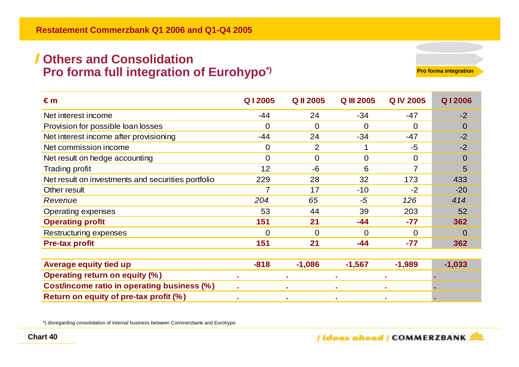#### **Others and Consolidation Pro forma full integration of Eurohypo\*)**

**Pro forma integration**

| €m                                                 | Q12005         | <b>QII 2005</b> | <b>Q III 2005</b> | <b>Q IV 2005</b> | Q12006         |
|----------------------------------------------------|----------------|-----------------|-------------------|------------------|----------------|
| Net interest income                                | -44            | 24              | $-34$             | $-47$            | $-2$           |
| Provision for possible loan losses                 | $\Omega$       | $\overline{0}$  | 0                 | $\overline{0}$   | $\overline{0}$ |
| Net interest income after provisioning             | $-44$          | 24              | $-34$             | $-47$            | $-2$           |
| Net commission income                              | 0              | 2               |                   | -5               | $-2$           |
| Net result on hedge accounting                     | $\overline{0}$ | $\overline{0}$  | 0                 | $\Omega$         | 0              |
| <b>Trading profit</b>                              | 12             | -6              | 6                 | 7                | 5              |
| Net result on investments and securities portfolio | 229            | 28              | 32                | 173              | 433            |
| Other result                                       | 7              | 17              | $-10$             | $-2$             | $-20$          |
| Revenue                                            | 204            | 65              | $-5$              | 126              | 414            |
| Operating expenses                                 | 53             | 44              | 39                | 203              | 52             |
| <b>Operating profit</b>                            | 151            | 21              | $-44$             | $-77$            | 362            |
| Restructuring expenses                             | $\overline{0}$ | $\Omega$        | 0                 | $\overline{0}$   | $\overline{0}$ |
| <b>Pre-tax profit</b>                              | 151            | 21              | -44               | $-77$            | 362            |
|                                                    |                |                 |                   |                  |                |
| <b>Average equity tied up</b>                      | $-818$         | $-1,086$        | $-1,567$          | $-1,989$         | $-1,033$       |
| <b>Operating return on equity (%)</b>              | ×.             |                 |                   |                  |                |
| Cost/income ratio in operating business (%)        | $\mathbf{r}$   |                 | $\mathbf{r}$      | $\mathbf{r}$     |                |
| Return on equity of pre-tax profit (%)             |                |                 |                   |                  |                |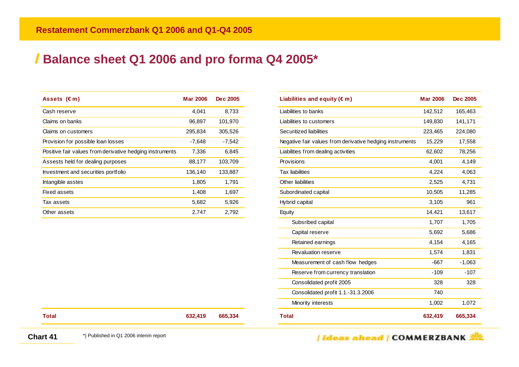#### **Balance sheet Q1 2006 and pro forma Q4 2005\***

**Total 632,419 665,334** 

| Assets $(\epsilon m)$                                    | <b>Mar 2006</b> | Dec 2005 |
|----------------------------------------------------------|-----------------|----------|
| Cash reserve                                             | 4,041           | 8,733    |
| Claims on banks                                          | 96,897          | 101,970  |
| Claims on customers                                      | 295,834         | 305,526  |
| Provision for possible loan losses                       | $-7,648$        | $-7,542$ |
| Positive fair values from derivative hedging instruments | 7,336           | 6,845    |
| Assests held for dealing purposes                        | 88,177          | 103.709  |
| Investment and securities portfolio                      | 136,140         | 133,887  |
| Intangible asstes                                        | 1,805           | 1,791    |
| <b>Fixed assets</b>                                      | 1,408           | 1,697    |
| Tax assets                                               | 5,682           | 5,926    |
| Other assets                                             | 2,747           | 2,792    |

| Liabilities and equity $(\epsilon m)$                    | <b>Mar 2006</b> | Dec 2005 |
|----------------------------------------------------------|-----------------|----------|
| Liabilities to banks                                     | 142,512         | 165,463  |
| Liabilities to customers                                 | 149,830         | 141,171  |
| Securitized liabilities                                  | 223,465         | 224,080  |
| Negative fair values from derivative hedging instruments | 15,229          | 17,558   |
| Liabilities from dealing activities                      | 62,602          | 78,256   |
| Provisions                                               | 4,001           | 4,149    |
| <b>Tax liabilities</b>                                   | 4,224           | 4,063    |
| Other liabilities                                        | 2,525           | 4,731    |
| Subordinated capital                                     | 10,505          | 11,285   |
| Hybrid capital                                           | 3,105           | 961      |
| Equity                                                   | 14,421          | 13,617   |
| Subsribed capital                                        | 1,707           | 1,705    |
| Capital reserve                                          | 5,692           | 5,686    |
| Retained earnings                                        | 4,154           | 4,165    |
| <b>Revaluation reserve</b>                               | 1,574           | 1,831    |
| Measurement of cash flow hedges                          | $-667$          | $-1,063$ |
| Reserve from currency translation                        | $-109$          | $-107$   |
| Consolidated profit 2005                                 | 328             | 328      |
| Consolidated profit 1.1.-31.3.2006                       | 740             |          |
| Minority interests                                       | 1,002           | 1,072    |
| <b>Total</b>                                             | 632,419         | 665,334  |

| Total           |                                        | 632,419 |
|-----------------|----------------------------------------|---------|
|                 |                                        |         |
| <b>Chart 41</b> | *) Published in Q1 2006 interim report |         |

/ ideas ahead / COMMERZBANK SIZ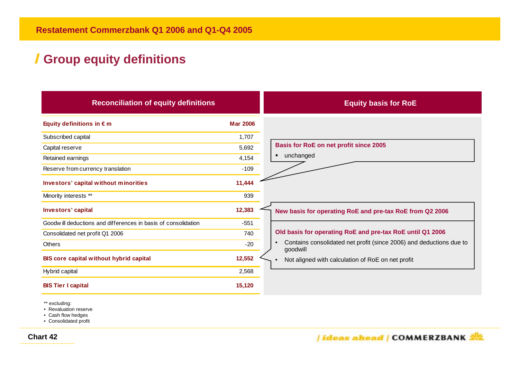# **Group equity definitions**

| <b>Reconciliation of equity definitions</b>                   |                 | <b>Equity basis for RoE</b>                                                                  |
|---------------------------------------------------------------|-----------------|----------------------------------------------------------------------------------------------|
| Equity definitions in $\epsilon$ m                            | <b>Mar 2006</b> |                                                                                              |
| Subscribed capital                                            | 1,707           |                                                                                              |
| Capital reserve                                               | 5,692           | <b>Basis for RoE on net profit since 2005</b>                                                |
| Retained earnings                                             | 4,154           | unchanged                                                                                    |
| Reserve from currency translation                             | $-109$          |                                                                                              |
| Investors' capital without minorities                         | 11,444          |                                                                                              |
| Minority interests **                                         | 939             |                                                                                              |
| Investors' capital                                            | 12,383          | New basis for operating RoE and pre-tax RoE from Q2 2006                                     |
| Goodwill deductions and differences in basis of consolidation | $-551$          |                                                                                              |
| Consolidated net profit Q1 2006                               | 740             | Old basis for operating RoE and pre-tax RoE until Q1 2006                                    |
| Others                                                        | $-20$           | Contains consolidated net profit (since 2006) and deductions due to<br>$\bullet$<br>goodwill |
| <b>BIS core capital without hybrid capital</b>                | 12,552          | Not aligned with calculation of RoE on net profit                                            |
| Hybrid capital                                                | 2,568           |                                                                                              |
| <b>BIS Tier I capital</b>                                     | 15,120          |                                                                                              |

\*\* excluding:

• Revaluation reserve

• Cash flow hedges

• Consolidated profit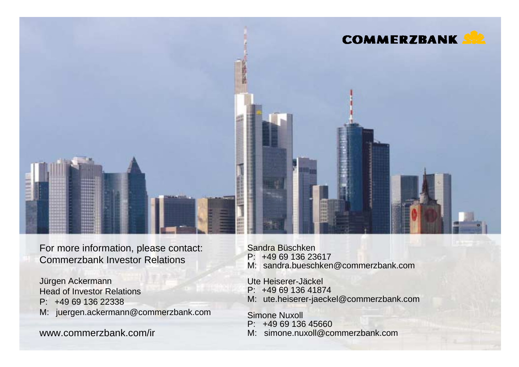

For more information, please contact: Commerzbank Investor Relations

Jürgen Ackermann Head of Investor RelationsP: +49 69 136 22338M: juergen.ackermann@commerzbank.com

www.commerzbank.com/ir

Sandra Büschken P: +49 69 136 23617M: sandra.bueschken@commerzbank.com

Ute Heiserer-Jäckel

P: +49 69 136 41874

M: ute.heiserer-jaeckel@commerzbank.com

Simone Nuxoll P: +49 69 136 45660M: simone.nuxoll@commerzbank.com